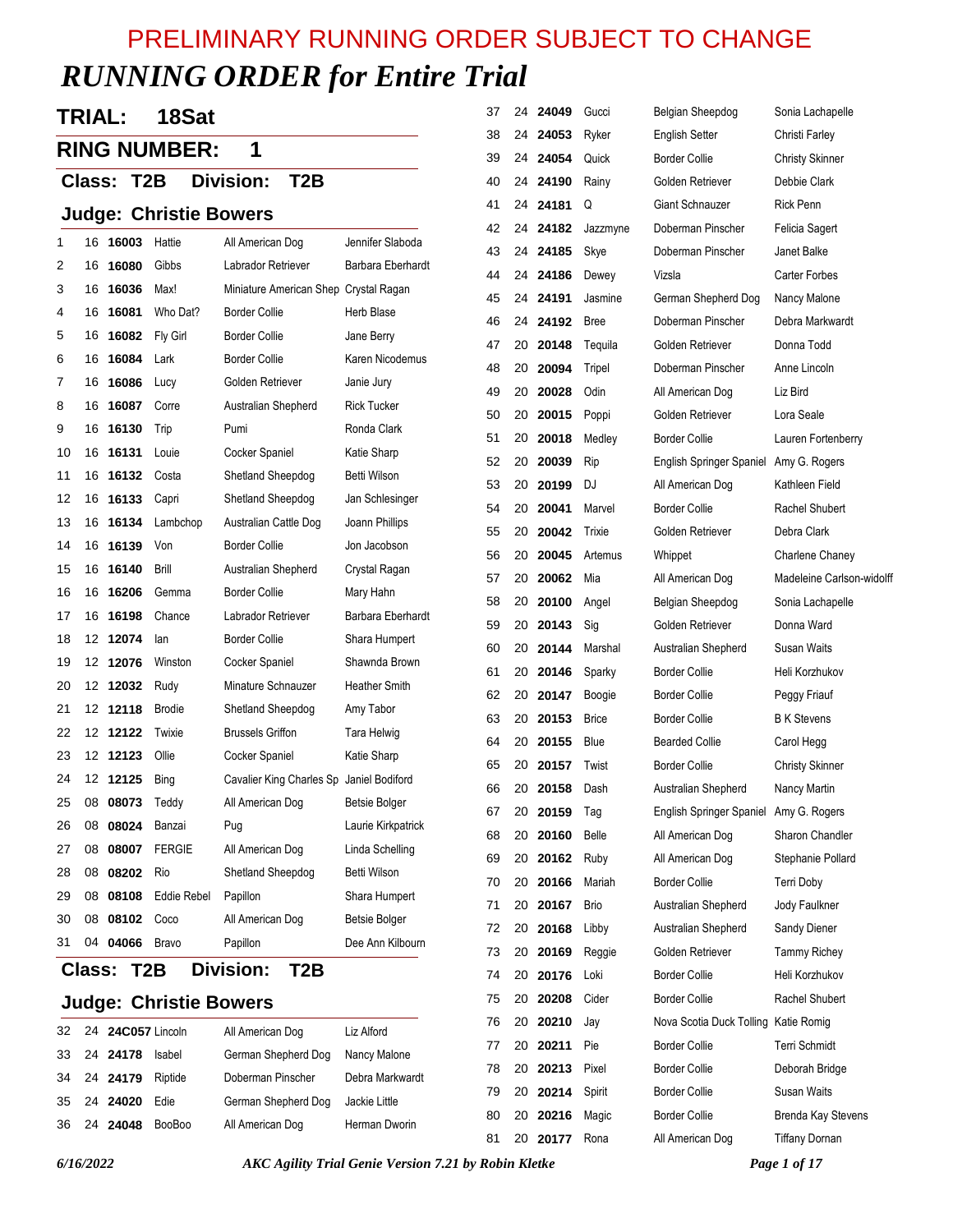# *RUNNING ORDER for Entire Trial*  PRELIMINARY RUNNING ORDER SUBJECT TO CHANGE

# **TRIAL: 18Sat**

# **RING NUMBER: 1**

### **Class: T2B Division: T2B**

#### **Judge: Christie Bowers**

| 1  | 16 | 16003 | Hattie             | All American Dog                      | Jennifer Slaboda     |  |
|----|----|-------|--------------------|---------------------------------------|----------------------|--|
| 2  | 16 | 16080 | Gibbs              | Labrador Retriever                    | Barbara Eberhardt    |  |
| 3  | 16 | 16036 | Max!               | Miniature American Shep Crystal Ragan |                      |  |
| 4  | 16 | 16081 | Who Dat?           | <b>Border Collie</b>                  | Herb Blase           |  |
| 5  | 16 | 16082 | Fly Girl           | <b>Border Collie</b>                  | Jane Berry           |  |
| 6  | 16 | 16084 | Lark               | <b>Border Collie</b>                  | Karen Nicodemus      |  |
| 7  | 16 | 16086 | Lucy               | Golden Retriever                      | Janie Jury           |  |
| 8  | 16 | 16087 | Corre              | Australian Shepherd                   | <b>Rick Tucker</b>   |  |
| 9  | 16 | 16130 | Trip               | Pumi                                  | Ronda Clark          |  |
| 10 | 16 | 16131 | Louie              | Cocker Spaniel                        | Katie Sharp          |  |
| 11 | 16 | 16132 | Costa              | Shetland Sheepdog                     | Betti Wilson         |  |
| 12 | 16 | 16133 | Capri              | Shetland Sheepdog                     | Jan Schlesinger      |  |
| 13 | 16 | 16134 | Lambchop           | Australian Cattle Dog                 | Joann Phillips       |  |
| 14 | 16 | 16139 | Von                | <b>Border Collie</b>                  | Jon Jacobson         |  |
| 15 | 16 | 16140 | Brill              | Australian Shepherd                   | Crystal Ragan        |  |
| 16 | 16 | 16206 | Gemma              | <b>Border Collie</b>                  | Mary Hahn            |  |
| 17 | 16 | 16198 | Chance             | Labrador Retriever                    | Barbara Eberhardt    |  |
| 18 | 12 | 12074 | lan                | <b>Border Collie</b>                  | Shara Humpert        |  |
| 19 | 12 | 12076 | Winston            | Cocker Spaniel                        | Shawnda Brown        |  |
| 20 | 12 | 12032 | Rudy               | Minature Schnauzer                    | <b>Heather Smith</b> |  |
| 21 | 12 | 12118 | <b>Brodie</b>      | Shetland Sheepdog                     | Amy Tabor            |  |
| 22 | 12 | 12122 | Twixie             | <b>Brussels Griffon</b>               | Tara Helwig          |  |
| 23 | 12 | 12123 | Ollie              | Cocker Spaniel                        | Katie Sharp          |  |
| 24 | 12 | 12125 | Bing               | Cavalier King Charles Sp              | Janiel Bodiford      |  |
| 25 | 08 | 08073 | Teddy              | All American Dog                      | <b>Betsie Bolger</b> |  |
| 26 | 08 | 08024 | Banzai             | Pug                                   | Laurie Kirkpatrick   |  |
| 27 | 08 | 08007 | <b>FERGIE</b>      | All American Dog                      | Linda Schelling      |  |
| 28 | 08 | 08202 | Rio                | Shetland Sheepdog                     | Betti Wilson         |  |
| 29 | 08 | 08108 | <b>Eddie Rebel</b> | Papillon                              | Shara Humpert        |  |
| 30 | 08 | 08102 | Coco               | All American Dog                      | <b>Betsie Bolger</b> |  |
| 31 | 04 | 04066 | Bravo              | Papillon                              | Dee Ann Kilbourn     |  |
|    |    |       |                    |                                       |                      |  |

#### **Class: T2B Division: T2B**

#### **Judge: Christie Bowers**

|  | 32 24 24C057 Lincoln |               | All American Dog    | Liz Alford      |
|--|----------------------|---------------|---------------------|-----------------|
|  | 33 24 24178          | Isabel        | German Shepherd Dog | Nancy Malone    |
|  | 34 24 24179          | Riptide       | Doberman Pinscher   | Debra Markwardt |
|  | 35 24 24020          | Edie          | German Shepherd Dog | Jackie Little   |
|  | 36 24 24048          | <b>BooBoo</b> | All American Dog    | Herman Dworin   |

| 37 | 24 | 24049 | Gucci        | Belgian Sheepdog                       | Sonia Lachapelle         |
|----|----|-------|--------------|----------------------------------------|--------------------------|
| 38 | 24 | 24053 | Ryker        | English Setter                         | Christi Farley           |
| 39 | 24 | 24054 | Quick        | <b>Border Collie</b>                   | <b>Christy Skinner</b>   |
| 40 | 24 | 24190 | Rainy        | Golden Retriever                       | Debbie Clark             |
| 41 | 24 | 24181 | Q            | Giant Schnauzer                        | <b>Rick Penn</b>         |
| 42 | 24 | 24182 | Jazzmyne     | Doberman Pinscher                      | Felicia Sagert           |
| 43 | 24 | 24185 | Skye         | Doberman Pinscher                      | Janet Balke              |
| 44 | 24 | 24186 | Dewey        | Vizsla                                 | Carter Forbes            |
| 45 | 24 | 24191 | Jasmine      | German Shepherd Dog                    | Nancy Malone             |
| 46 | 24 | 24192 | <b>Bree</b>  | Doberman Pinscher                      | Debra Markwardt          |
| 47 | 20 | 20148 | Tequila      | Golden Retriever                       | Donna Todd               |
| 48 | 20 | 20094 | Tripel       | Doberman Pinscher                      | Anne Lincoln             |
| 49 | 20 | 20028 | Odin         | All American Dog                       | Liz Bird                 |
| 50 | 20 | 20015 | Poppi        | Golden Retriever                       | Lora Seale               |
| 51 | 20 | 20018 | Medley       | Border Collie                          | Lauren Fortenberry       |
| 52 | 20 | 20039 | Rip          | English Springer Spaniel Amy G. Rogers |                          |
| 53 | 20 | 20199 | DJ           | All American Dog                       | Kathleen Field           |
| 54 | 20 | 20041 | Marvel       | <b>Border Collie</b>                   | Rachel Shubert           |
| 55 | 20 | 20042 | Trixie       | Golden Retriever                       | Debra Clark              |
| 56 | 20 | 20045 | Artemus      | Whippet                                | Charlene Chaney          |
| 57 | 20 | 20062 | Mia          | All American Dog                       | Madeleine Carlson-widolf |
| 58 | 20 | 20100 | Angel        | Belgian Sheepdog                       | Sonia Lachapelle         |
| 59 | 20 | 20143 | Sig          | Golden Retriever                       | Donna Ward               |
| 60 | 20 | 20144 | Marshal      | Australian Shepherd                    | Susan Waits              |
| 61 | 20 | 20146 | Sparky       | <b>Border Collie</b>                   | Heli Korzhukov           |
| 62 | 20 | 20147 | Boogie       | <b>Border Collie</b>                   | Peggy Friauf             |
| 63 | 20 | 20153 | <b>Brice</b> | <b>Border Collie</b>                   | <b>B</b> K Stevens       |
| 64 | 20 | 20155 | Blue         | <b>Bearded Collie</b>                  | Carol Hegg               |
| 65 | 20 | 20157 | Twist        | Border Collie                          | <b>Christy Skinner</b>   |
| 66 | 20 | 20158 | Dash         | Australian Shepherd                    | Nancy Martin             |
| 67 | 20 | 20159 | Tag          | English Springer Spaniel Amy G. Rogers |                          |
| 68 | 20 | 20160 | Belle        | All American Dog                       | Sharon Chandler          |
| 69 | 20 | 20162 | Ruby         | All American Dog                       | Stephanie Pollard        |
| 70 | 20 | 20166 | Mariah       | <b>Border Collie</b>                   | Terri Doby               |
| 71 | 20 | 20167 | Brio         | Australian Shepherd                    | Jody Faulkner            |
| 72 | 20 | 20168 | Libby        | Australian Shepherd                    | Sandy Diener             |
| 73 | 20 | 20169 | Reggie       | Golden Retriever                       | <b>Tammy Richey</b>      |
| 74 | 20 | 20176 | Loki         | <b>Border Collie</b>                   | Heli Korzhukov           |
| 75 | 20 | 20208 | Cider        | <b>Border Collie</b>                   | Rachel Shubert           |
| 76 | 20 | 20210 | Jay          | Nova Scotia Duck Tolling Katie Romig   |                          |
| 77 | 20 | 20211 | Pie          | <b>Border Collie</b>                   | Terri Schmidt            |
| 78 | 20 | 20213 | Pixel        | <b>Border Collie</b>                   | Deborah Bridge           |
| 79 | 20 | 20214 | Spirit       | <b>Border Collie</b>                   | Susan Waits              |
| 80 | 20 | 20216 | Magic        | <b>Border Collie</b>                   | Brenda Kay Stevens       |
| 81 | 20 | 20177 | Rona         | All American Dog                       | Tiffany Dornan           |
|    |    |       |              |                                        |                          |

*6/16/2022 AKC Agility Trial Genie Version 7.21 by Robin Kletke Page 1 of 17*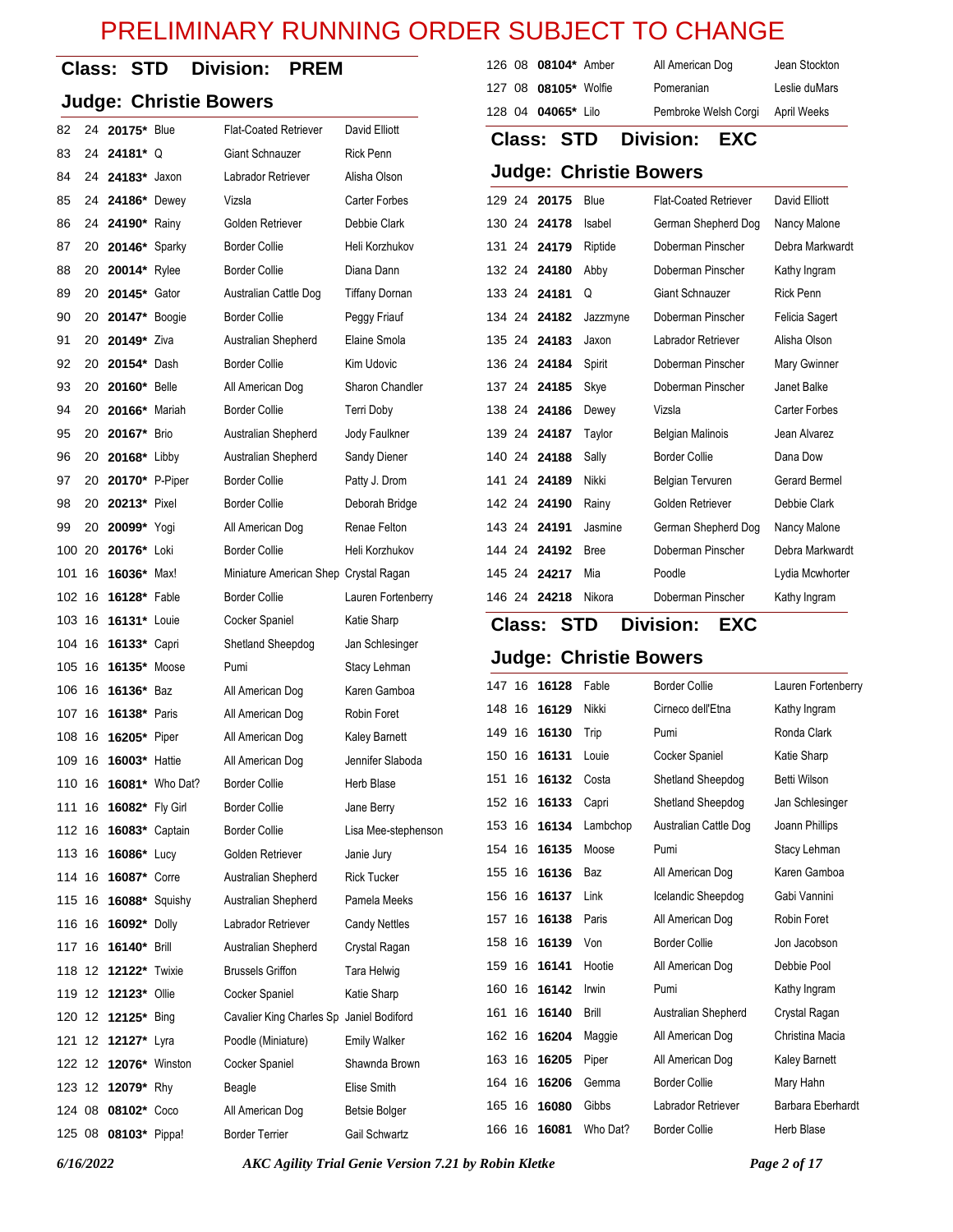#### **Class: STD Division: PREM**

#### **Judge: Christie Bowers**

| 82     | 24  | 20175* Blue            |                        | <b>Flat-Coated Retriever</b>             | David Elliott         |
|--------|-----|------------------------|------------------------|------------------------------------------|-----------------------|
| 83     | 24  | 24181*Q                |                        | Giant Schnauzer                          | <b>Rick Penn</b>      |
| 84     | 24  | 24183*                 | Jaxon                  | Labrador Retriever                       | Alisha Olson          |
| 85     | 24  | <b>24186*</b> Dewey    |                        | Vizsla                                   | <b>Carter Forbes</b>  |
| 86     | 24  | 24190* Rainy           |                        | Golden Retriever                         | Debbie Clark          |
| 87     | 20  | <b>20146*</b> Sparky   |                        | <b>Border Collie</b>                     | Heli Korzhukov        |
| 88     | 20  | 20014* Rylee           |                        | <b>Border Collie</b>                     | Diana Dann            |
| 89     | 20  | 20145* Gator           |                        | Australian Cattle Dog                    | <b>Tiffany Dornan</b> |
| 90     | 20  | 20147* Boogie          |                        | <b>Border Collie</b>                     | Peggy Friauf          |
| 91     | 20  | 20149* Ziva            |                        | Australian Shepherd                      | Elaine Smola          |
| 92     | 20  | <b>20154*</b> Dash     |                        | <b>Border Collie</b>                     | Kim Udovic            |
| 93     | 20  | 20160* Belle           |                        | All American Dog                         | Sharon Chandler       |
| 94     | 20  | 20166* Mariah          |                        | <b>Border Collie</b>                     | Terri Doby            |
| 95     | 20  | 20167* Brio            |                        | Australian Shepherd                      | Jody Faulkner         |
| 96     | 20  | <b>20168*</b> Libby    |                        | Australian Shepherd                      | Sandy Diener          |
| 97     | 20  | 20170* P-Piper         |                        | <b>Border Collie</b>                     | Patty J. Drom         |
| 98     | 20  | <b>20213*</b> Pixel    |                        | <b>Border Collie</b>                     | Deborah Bridge        |
| 99     | 20  | 20099* Yogi            |                        | All American Dog                         | Renae Felton          |
| 100 20 |     | 20176* Loki            |                        | <b>Border Collie</b>                     | Heli Korzhukov        |
| 101    | 16  | 16036* Max!            |                        | Miniature American Shep Crystal Ragan    |                       |
| 102    | -16 | <b>16128*</b> Fable    |                        | <b>Border Collie</b>                     | Lauren Fortenberry    |
| 103    | 16  | 16131* Louie           |                        | Cocker Spaniel                           | Katie Sharp           |
| 104 16 |     | 16133* Capri           |                        | Shetland Sheepdog                        | Jan Schlesinger       |
| 105    | 16  | 16135* Moose           |                        | Pumi                                     | Stacy Lehman          |
| 106    | -16 | 16136* Baz             |                        | All American Dog                         | Karen Gamboa          |
| 107    | 16  | <b>16138*</b> Paris    |                        | All American Dog                         | Robin Foret           |
| 108 16 |     | 16205* Piper           |                        | All American Dog                         | Kaley Barnett         |
| 109    | -16 | <b>16003*</b> Hattie   |                        | All American Dog                         | Jennifer Slaboda      |
| 110    | 16  |                        | <b>16081*</b> Who Dat? | <b>Border Collie</b>                     | Herb Blase            |
| 111    | 16  | 16082* Fly Girl        |                        | <b>Border Collie</b>                     | Jane Berry            |
| 112 16 |     | <b>16083</b> * Captain |                        | <b>Border Collie</b>                     | Lisa Mee-stephenson   |
| 113 16 |     | <b>16086*</b> Lucy     |                        | Golden Retriever                         | Janie Jury            |
| 114 16 |     | 16087* Corre           |                        | Australian Shepherd                      | <b>Rick Tucker</b>    |
| 115 16 |     | 16088* Squishy         |                        | Australian Shepherd                      | Pamela Meeks          |
| 116 16 |     | 16092* Dolly           |                        | Labrador Retriever                       | <b>Candy Nettles</b>  |
| 117 16 |     | 16140* Brill           |                        | Australian Shepherd                      | Crystal Ragan         |
| 118 12 |     | <b>12122*</b> Twixie   |                        | <b>Brussels Griffon</b>                  | Tara Helwig           |
| 119 12 |     | <b>12123*</b> Ollie    |                        | Cocker Spaniel                           | Katie Sharp           |
| 120 12 |     | 12125* Bing            |                        | Cavalier King Charles Sp Janiel Bodiford |                       |
| 121    | 12  | 12127* Lyra            |                        | Poodle (Miniature)                       | <b>Emily Walker</b>   |
| 122 12 |     | 12076* Winston         |                        | Cocker Spaniel                           | Shawnda Brown         |
| 123 12 |     | 12079* Rhy             |                        | Beagle                                   | Elise Smith           |
| 124 08 |     | 08102* Coco            |                        | All American Dog                         | <b>Betsie Bolger</b>  |
| 125 08 |     | 08103* Pippa!          |                        | <b>Border Terrier</b>                    | Gail Schwartz         |

| 126 08 08104* Amber        | All American Dog     | Jean Stockton |
|----------------------------|----------------------|---------------|
| 127 08 08105* Wolfie       | Pomeranian           | Leslie duMars |
| 128 04 <b>04065</b> * Lilo | Pembroke Welsh Corgi | April Weeks   |

**Class: STD Division: EXC**

#### **Judge: Christie Bowers**

|  | 129 24 20175 | Blue        | <b>Flat-Coated Retriever</b> | David Elliott   |
|--|--------------|-------------|------------------------------|-----------------|
|  | 130 24 24178 | Isabel      | German Shepherd Dog          | Nancy Malone    |
|  | 131 24 24179 | Riptide     | Doberman Pinscher            | Debra Markwardt |
|  | 132 24 24180 | Abby        | Doberman Pinscher            | Kathy Ingram    |
|  | 133 24 24181 | Q           | Giant Schnauzer              | Rick Penn       |
|  | 134 24 24182 | Jazzmyne    | Doberman Pinscher            | Felicia Sagert  |
|  | 135 24 24183 | Jaxon       | Labrador Retriever           | Alisha Olson    |
|  | 136 24 24184 | Spirit      | Doberman Pinscher            | Mary Gwinner    |
|  | 137 24 24185 | Skye        | Doberman Pinscher            | Janet Balke     |
|  | 138 24 24186 | Dewey       | Vizsla                       | Carter Forbes   |
|  | 139 24 24187 | Taylor      | Belgian Malinois             | Jean Alvarez    |
|  | 140 24 24188 | Sally       | <b>Border Collie</b>         | Dana Dow        |
|  | 141 24 24189 | Nikki       | Belgian Tervuren             | Gerard Bermel   |
|  | 142 24 24190 | Rainy       | Golden Retriever             | Debbie Clark    |
|  | 143 24 24191 | Jasmine     | German Shepherd Dog          | Nancy Malone    |
|  | 144 24 24192 | <b>Bree</b> | Doberman Pinscher            | Debra Markwardt |
|  | 145 24 24217 | Mia         | Poodle                       | Lydia Mcwhorter |
|  | 146 24 24218 | Nikora      | Doberman Pinscher            | Kathy Ingram    |

### **Class: STD Division: EXC**

### **Judge: Christie Bowers**

| 147    | 16 | 16128 | Fable    | <b>Border Collie</b>  | Lauren Fortenberry |
|--------|----|-------|----------|-----------------------|--------------------|
| 148    | 16 | 16129 | Nikki    | Cirneco dell'Etna     | Kathy Ingram       |
| 149    | 16 | 16130 | Trip     | Pumi                  | Ronda Clark        |
| 150    | 16 | 16131 | Louie    | Cocker Spaniel        | Katie Sharp        |
| 151    | 16 | 16132 | Costa    | Shetland Sheepdog     | Betti Wilson       |
| 152 16 |    | 16133 | Capri    | Shetland Sheepdog     | Jan Schlesinger    |
| 153 16 |    | 16134 | Lambchop | Australian Cattle Dog | Joann Phillips     |
| 154 16 |    | 16135 | Moose    | Pumi                  | Stacy Lehman       |
| 155    | 16 | 16136 | Baz      | All American Dog      | Karen Gamboa       |
| 156    | 16 | 16137 | Link     | Icelandic Sheepdog    | Gabi Vannini       |
| 157    | 16 | 16138 | Paris    | All American Dog      | Robin Foret        |
| 158    | 16 | 16139 | Von      | <b>Border Collie</b>  | Jon Jacobson       |
| 159    | 16 | 16141 | Hootie   | All American Dog      | Debbie Pool        |
| 160    | 16 | 16142 | Irwin    | Pumi                  | Kathy Ingram       |
| 161    | 16 | 16140 | Brill    | Australian Shepherd   | Crystal Ragan      |
| 162    | 16 | 16204 | Maggie   | All American Dog      | Christina Macia    |
| 163 16 |    | 16205 | Piper    | All American Dog      | Kaley Barnett      |
| 164    | 16 | 16206 | Gemma    | <b>Border Collie</b>  | Mary Hahn          |
| 165    | 16 | 16080 | Gibbs    | Labrador Retriever    | Barbara Eberhardt  |
| 166    | 16 | 16081 | Who Dat? | <b>Border Collie</b>  | Herb Blase         |
|        |    |       |          |                       |                    |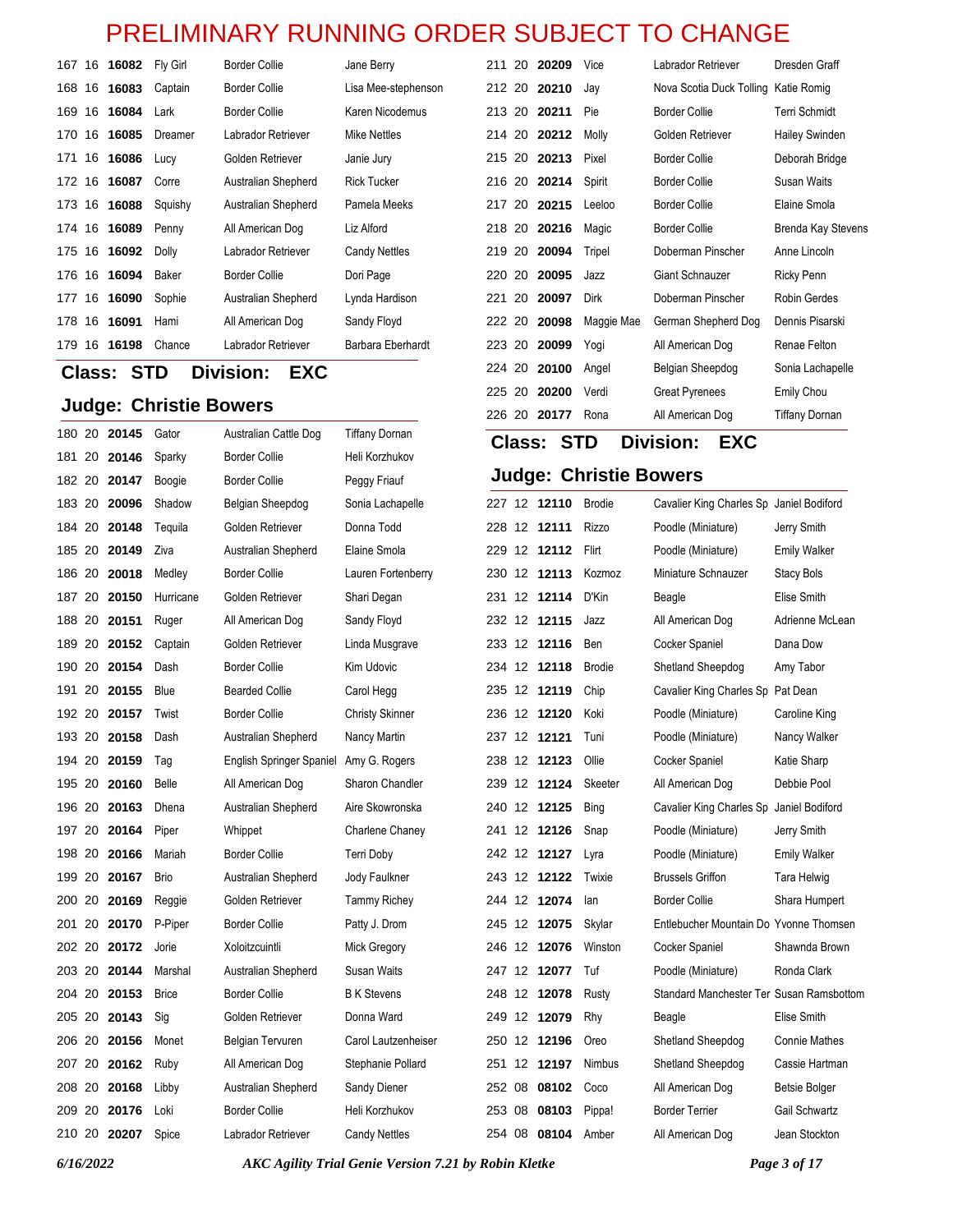| 167 16 |    | 16082 | Fly Girl | <b>Border Collie</b> | Jane Berry          | 211    |    | 20 20 20 9   | Vice       | Labrador Retriever                   | Dresden Graff         |
|--------|----|-------|----------|----------------------|---------------------|--------|----|--------------|------------|--------------------------------------|-----------------------|
| 168    | 16 | 16083 | Captain  | <b>Border Collie</b> | Lisa Mee-stephenson |        |    | 212 20 20210 | Jay        | Nova Scotia Duck Tolling Katie Romig |                       |
| 169    | 16 | 16084 | Lark     | <b>Border Collie</b> | Karen Nicodemus     |        |    | 213 20 20211 | Pie        | <b>Border Collie</b>                 | Terri Schmidt         |
| 170    | 16 | 16085 | Dreamer  | Labrador Retriever   | Mike Nettles        |        |    | 214 20 20212 | Molly      | Golden Retriever                     | <b>Hailey Swinden</b> |
| 171    | 16 | 16086 | Lucy     | Golden Retriever     | Janie Jury          |        |    | 215 20 20213 | Pixel      | <b>Border Collie</b>                 | Deborah Bridge        |
| 172 16 |    | 16087 | Corre    | Australian Shepherd  | <b>Rick Tucker</b>  |        |    | 216 20 20214 | Spirit     | <b>Border Collie</b>                 | Susan Waits           |
| 173    | 16 | 16088 | Squishy  | Australian Shepherd  | Pamela Meeks        |        |    | 217 20 20215 | Leeloo     | <b>Border Collie</b>                 | Elaine Smola          |
| 174 16 |    | 16089 | Penny    | All American Dog     | Liz Alford          |        |    | 218 20 20216 | Magic      | <b>Border Collie</b>                 | Brenda Kay Ste        |
| 175 16 |    | 16092 | Dolly    | Labrador Retriever   | Candy Nettles       | 219 20 |    | 20094        | Tripel     | Doberman Pinscher                    | Anne Lincoln          |
| 176 16 |    | 16094 | Baker    | <b>Border Collie</b> | Dori Page           | 220    | 20 | 20095        | Jazz       | <b>Giant Schnauzer</b>               | Ricky Penn            |
| 177    | 16 | 16090 | Sophie   | Australian Shepherd  | Lynda Hardison      | 221    | 20 | 20097        | Dirk       | Doberman Pinscher                    | Robin Gerdes          |
| 178    | 16 | 16091 | Hami     | All American Dog     | Sandy Floyd         | 222 20 |    | 20098        | Maggie Mae | German Shepherd Dog                  | Dennis Pisarski       |
| 179.   | 16 | 16198 | Chance   | Labrador Retriever   | Barbara Eberhardt   | 223    | 20 | 20099        | Yogi       | All American Dog                     | Renae Felton          |
|        |    |       |          |                      |                     |        |    |              |            |                                      |                       |

#### **Class: STD Division: EXC**

#### **Judge: Christie Bowers**

| <b>Juage: Christie Bowers</b> |              | 226 20 20177                           |                        | Rona         |  | All American Dog  |  | <b>Tiffany Dornan</b> |  |                               |                                   |                                          |
|-------------------------------|--------------|----------------------------------------|------------------------|--------------|--|-------------------|--|-----------------------|--|-------------------------------|-----------------------------------|------------------------------------------|
| 180 20 20145                  | Gator        | Australian Cattle Dog                  | <b>Tiffany Dornan</b>  |              |  | <b>Class: STD</b> |  |                       |  | <b>Division:</b>              | <b>EXC</b>                        |                                          |
| 181 20 20146                  | Sparky       | <b>Border Collie</b>                   | Heli Korzhukov         |              |  |                   |  |                       |  |                               |                                   |                                          |
| 182 20 20147                  | Boogie       | <b>Border Collie</b>                   | Peggy Friauf           |              |  |                   |  |                       |  | <b>Judge: Christie Bowers</b> |                                   |                                          |
| 183 20 20096                  | Shadow       | Belgian Sheepdog                       | Sonia Lachapelle       | 227 12 12110 |  |                   |  | <b>Brodie</b>         |  |                               |                                   | Cavalier King Charles Sp Janiel Bodiford |
| 184 20 20148                  | Teguila      | Golden Retriever                       | Donna Todd             | 228 12 12111 |  |                   |  | <b>Rizzo</b>          |  | Poodle (Miniature)            |                                   | Jerry Smith                              |
| 185 20 20149                  | Ziva         | Australian Shepherd                    | Elaine Smola           | 229 12 12112 |  |                   |  | Flirt                 |  | Poodle (Miniature)            |                                   | <b>Emily Walker</b>                      |
| 186 20 20018                  | Medley       | <b>Border Collie</b>                   | Lauren Fortenberry     | 230 12 12113 |  |                   |  | Kozmoz                |  | Miniature Schnauzer           |                                   | <b>Stacy Bols</b>                        |
| 187 20 20150                  | Hurricane    | Golden Retriever                       | Shari Degan            | 231 12 12114 |  |                   |  | D'Kin                 |  | Beagle                        |                                   | Elise Smith                              |
| 188 20 20151                  | Ruger        | All American Dog                       | Sandy Floyd            | 232 12 12115 |  |                   |  | Jazz                  |  | All American Dog              |                                   | Adrienne McLe                            |
| 189 20 20152                  | Captain      | Golden Retriever                       | Linda Musgrave         | 233 12 12116 |  |                   |  | Ben                   |  | Cocker Spaniel                |                                   | Dana Dow                                 |
| 190 20 20154                  | Dash         | <b>Border Collie</b>                   | Kim Udovic             | 234 12 12118 |  |                   |  | <b>Brodie</b>         |  | Shetland Sheepdog             |                                   | Amy Tabor                                |
| 191 20 20155                  | Blue         | <b>Bearded Collie</b>                  | Carol Hegg             | 235 12 12119 |  |                   |  | Chip                  |  |                               | Cavalier King Charles Sp Pat Dean |                                          |
| 192 20 20157                  | Twist        | <b>Border Collie</b>                   | <b>Christy Skinner</b> | 236 12 12120 |  |                   |  | Koki                  |  | Poodle (Miniature)            |                                   | Caroline King                            |
| 193 20 20158                  | Dash         | Australian Shepherd                    | Nancy Martin           | 237 12 12121 |  |                   |  | Tuni                  |  | Poodle (Miniature)            |                                   | Nancy Walker                             |
| 194 20 20159                  | Tag          | English Springer Spaniel Amy G. Rogers |                        | 238 12 12123 |  |                   |  | Ollie                 |  | Cocker Spaniel                |                                   | Katie Sharp                              |
| 195 20 20160                  | <b>Belle</b> | All American Dog                       | Sharon Chandler        | 239 12 12124 |  |                   |  | Skeeter               |  | All American Dog              |                                   | Debbie Pool                              |
| 196 20 20163                  | Dhena        | Australian Shepherd                    | Aire Skowronska        | 240 12 12125 |  |                   |  | Bing                  |  |                               | Cavalier King Charles Sp          | Janiel Bodiford                          |
| 197 20 20164                  | Piper        | Whippet                                | Charlene Chaney        | 241 12 12126 |  |                   |  | Snap                  |  | Poodle (Miniature)            |                                   | Jerry Smith                              |
| 198 20 20166                  | Mariah       | <b>Border Collie</b>                   | Terri Doby             | 242 12 12127 |  |                   |  | Lyra                  |  | Poodle (Miniature)            |                                   | <b>Emily Walker</b>                      |
| 199 20 20167                  | <b>Brio</b>  | Australian Shepherd                    | Jody Faulkner          | 243 12 12122 |  |                   |  | Twixie                |  | <b>Brussels Griffon</b>       |                                   | Tara Helwig                              |
| 200 20 20169                  | Reggie       | Golden Retriever                       | <b>Tammy Richey</b>    | 244 12 12074 |  |                   |  | lan                   |  | <b>Border Collie</b>          |                                   | Shara Humper                             |
| 201 20 20170                  | P-Piper      | <b>Border Collie</b>                   | Patty J. Drom          | 245 12 12075 |  |                   |  | Skylar                |  |                               |                                   | Entlebucher Mountain Do Yvonne Thoms     |
| 202 20 20172                  | Jorie        | Xoloitzcuintli                         | Mick Gregory           | 246 12 12076 |  |                   |  | Winston               |  | Cocker Spaniel                |                                   | Shawnda Brow                             |
| 203 20 20144                  | Marshal      | Australian Shepherd                    | <b>Susan Waits</b>     | 247 12 12077 |  |                   |  | Tuf                   |  | Poodle (Miniature)            |                                   | Ronda Clark                              |
| 204 20 20153                  | <b>Brice</b> | <b>Border Collie</b>                   | <b>B</b> K Stevens     | 248 12 12078 |  |                   |  | Rusty                 |  |                               |                                   | Standard Manchester Ter Susan Ramsbo     |
| 205 20 20143                  | Sig          | Golden Retriever                       | Donna Ward             | 249 12 12079 |  |                   |  | Rhy                   |  | Beagle                        |                                   | Elise Smith                              |
| 206 20 20156                  | Monet        | Belgian Tervuren                       | Carol Lautzenheiser    | 250 12 12196 |  |                   |  | Oreo                  |  | Shetland Sheepdog             |                                   | <b>Connie Mathes</b>                     |
| 207 20 20162                  | Ruby         | All American Dog                       | Stephanie Pollard      | 251 12 12197 |  |                   |  | Nimbus                |  | Shetland Sheepdog             |                                   | Cassie Hartma                            |
| 208 20 20168                  | Libby        | Australian Shepherd                    | Sandy Diener           | 252 08 08102 |  |                   |  | Coco                  |  | All American Dog              |                                   | Betsie Bolger                            |
| 209 20 20176                  | Loki         | <b>Border Collie</b>                   | Heli Korzhukov         | 253 08 08103 |  |                   |  | Pippa!                |  | <b>Border Terrier</b>         |                                   | Gail Schwartz                            |
| 210 20 <b>20207</b>           | Spice        | Labrador Retriever                     | <b>Candy Nettles</b>   | 254 08 08104 |  |                   |  | Amber                 |  | All American Dog              |                                   | Jean Stockton                            |
|                               |              |                                        |                        |              |  |                   |  |                       |  |                               |                                   |                                          |

*6/16/2022 AKC Agility Trial Genie Version 7.21 by Robin Kletke Page 3 of 17*

**7** Tolling Katie Romig **Terri Schmidt Hailey Swinden** Deborah Bridge Susan Waits Elaine Smola **Brenda Kay Stevens** 

Janiel Bodiford Jerry Smith **Emily Walker** Stacy Bols **Elise Smith** Adrienne McLean Dana Dow Amy Tabor Pat Dean Caroline King **Nancy Walker Katie Sharp** Debbie Pool **Janiel Bodiford** Jerry Smith **Emily Walker Tara Helwig** Shara Humpert Yvonne Thomsen Shawnda Brown **Ronda Clark** Susan Ramsbottom Elise Smith Connie Mathes Cassie Hartman **Betsie Bolger** Gail Schwartz Jean Stockton

224 20 **20100** Angel Belgian Sheepdog Sonia Lachapelle 225 20 **20200** Verdi Great Pyrenees Emily Chou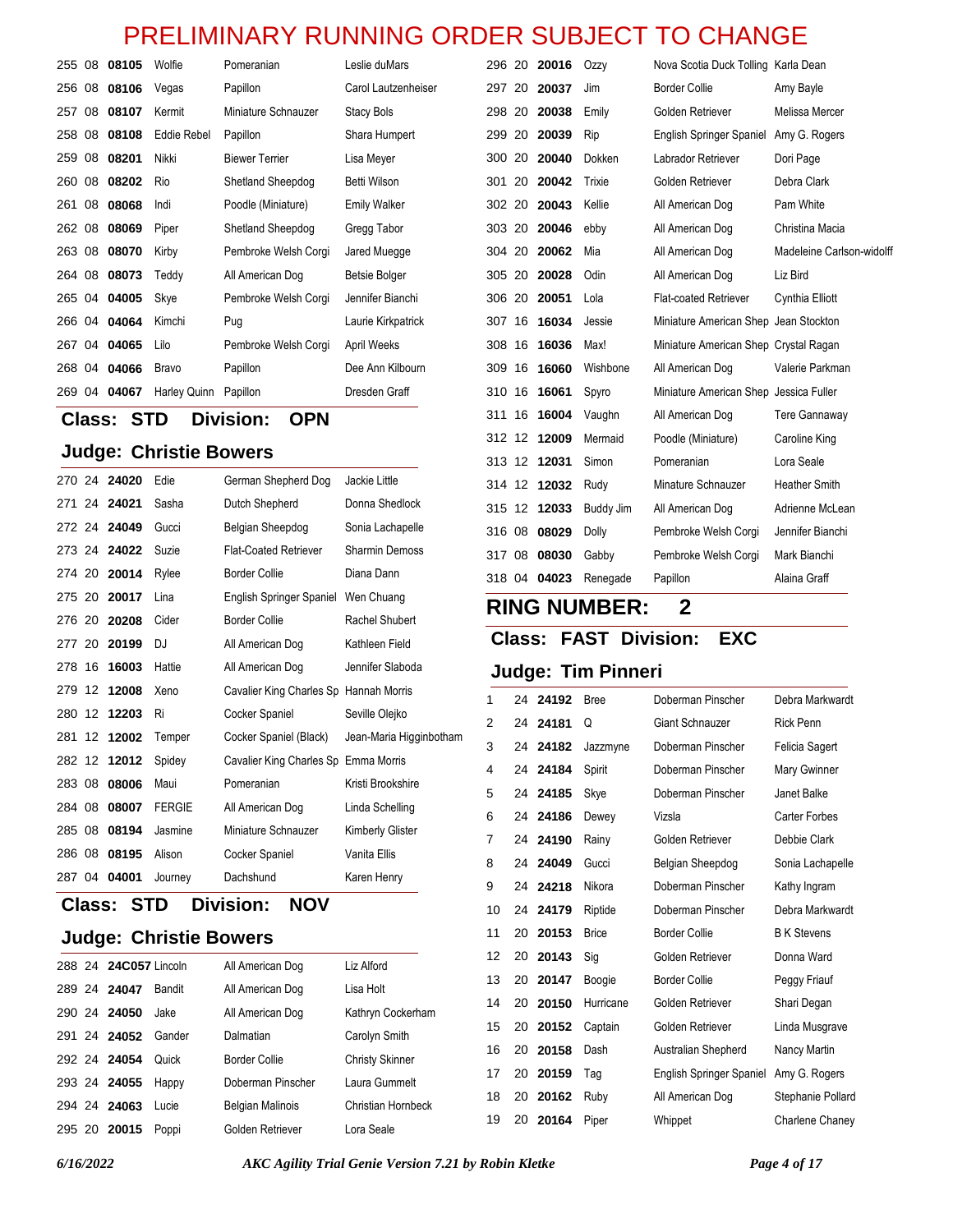| 255 08 | 08105 | Wolfie       | Pomeranian            | Leslie duMars        |
|--------|-------|--------------|-----------------------|----------------------|
| 256 08 | 08106 | Vegas        | Papillon              | Carol Lautzenheiser  |
| 257 08 | 08107 | Kermit       | Miniature Schnauzer   | Stacy Bols           |
| 258 08 | 08108 | Eddie Rebel  | Papillon              | Shara Humpert        |
| 259 08 | 08201 | Nikki        | <b>Biewer Terrier</b> | Lisa Meyer           |
| 260 08 | 08202 | Rio          | Shetland Sheepdog     | Betti Wilson         |
| 261 08 | 08068 | Indi         | Poodle (Miniature)    | <b>Emily Walker</b>  |
| 262 08 | 08069 | Piper        | Shetland Sheepdog     | Gregg Tabor          |
| 263 08 | 08070 | Kirby        | Pembroke Welsh Corgi  | Jared Muegge         |
| 264 08 | 08073 | Teddy        | All American Dog      | <b>Betsie Bolger</b> |
| 265 04 | 04005 | Skye         | Pembroke Welsh Corgi  | Jennifer Bianchi     |
| 266 04 | 04064 | Kimchi       | Pug                   | Laurie Kirkpatrick   |
| 267 04 | 04065 | Lilo         | Pembroke Welsh Corgi  | April Weeks          |
| 268 04 | 04066 | <b>Bravo</b> | Papillon              | Dee Ann Kilbourn     |
| 269 04 | 04067 | Harley Quinn | Papillon              | Dresden Graff        |

# **Class: STD Division: OPN**

### **Judge: Christie Bowers**

|        | 270 24 24020 | Edie          | German Shepherd Dog                    | Jackie Little           |
|--------|--------------|---------------|----------------------------------------|-------------------------|
|        | 271 24 24021 | Sasha         | Dutch Shepherd                         | Donna Shedlock          |
| 272 24 | 24049        | Gucci         | Belgian Sheepdog                       | Sonia Lachapelle        |
| 273 24 | 24022        | Suzie         | <b>Flat-Coated Retriever</b>           | <b>Sharmin Demoss</b>   |
| 274 20 | 20014        | Rylee         | <b>Border Collie</b>                   | Diana Dann              |
| 275 20 | 20017        | Lina          | English Springer Spaniel               | Wen Chuang              |
| 276 20 | 20208        | Cider         | <b>Border Collie</b>                   | Rachel Shubert          |
| 277 20 | 20199        | DJ            | All American Dog                       | Kathleen Field          |
| 278 16 | 16003        | Hattie        | All American Dog                       | Jennifer Slaboda        |
| 279 12 | 12008        | Xeno          | Cavalier King Charles Sp Hannah Morris |                         |
| 280 12 | 12203        | Ri            | Cocker Spaniel                         | Seville Olejko          |
| 281 12 | 12002        | Temper        | Cocker Spaniel (Black)                 | Jean-Maria Higginbotham |
| 282 12 | 12012        | Spidey        | Cavalier King Charles Sp Emma Morris   |                         |
| 283 08 | 08006        | Maui          | Pomeranian                             | Kristi Brookshire       |
| 284 08 | 08007        | <b>FERGIE</b> | All American Dog                       | Linda Schelling         |
| 285 08 | 08194        | Jasmine       | Miniature Schnauzer                    | Kimberly Glister        |
| 286 08 | 08195        | Alison        | Cocker Spaniel                         | Vanita Ellis            |
| 287 04 | 04001        | Journey       | Dachshund                              | Karen Henry             |
|        |              |               |                                        |                         |

**Class: STD Division: NOV**

#### **Judge: Christie Bowers**

|  | 288 24 24 C057 Lincoln |        | All American Dog        | Liz Alford             |
|--|------------------------|--------|-------------------------|------------------------|
|  | 289 24 24047           | Bandit | All American Dog        | Lisa Holt              |
|  | 290 24 24050           | Jake   | All American Dog        | Kathryn Cockerham      |
|  | 291 24 24052           | Gander | Dalmatian               | Carolyn Smith          |
|  | 292 24 24054           | Quick  | Border Collie           | <b>Christy Skinner</b> |
|  | 293 24 24055           | Happy  | Doberman Pinscher       | Laura Gummelt          |
|  | 294 24 24063           | Lucie  | <b>Belgian Malinois</b> | Christian Hornbeck     |
|  | 295 20 20015           | Poppi  | Golden Retriever        | Lora Seale             |

| 296 20 |    | 20016 | Ozzy      | Nova Scotia Duck Tolling Karla Dean    |                           |
|--------|----|-------|-----------|----------------------------------------|---------------------------|
| 297 20 |    | 20037 | Jim       | <b>Border Collie</b>                   | Amy Bayle                 |
| 298 20 |    | 20038 | Emily     | Golden Retriever                       | Melissa Mercer            |
| 299 20 |    | 20039 | Rip       | English Springer Spaniel Amy G. Rogers |                           |
| 300 20 |    | 20040 | Dokken    | Labrador Retriever                     | Dori Page                 |
| 301 20 |    | 20042 | Trixie    | Golden Retriever                       | Debra Clark               |
| 302 20 |    | 20043 | Kellie    | All American Dog                       | Pam White                 |
| 303 20 |    | 20046 | ebby      | All American Dog                       | Christina Macia           |
| 304 20 |    | 20062 | Mia       | All American Dog                       | Madeleine Carlson-widolff |
| 305 20 |    | 20028 | Odin      | All American Dog                       | Liz Bird                  |
| 306 20 |    | 20051 | Lola      | <b>Flat-coated Retriever</b>           | Cynthia Elliott           |
| 307 16 |    | 16034 | Jessie    | Miniature American Shep Jean Stockton  |                           |
| 308 16 |    | 16036 | Max!      | Miniature American Shep Crystal Ragan  |                           |
| 309 16 |    | 16060 | Wishbone  | All American Dog                       | Valerie Parkman           |
| 310 16 |    | 16061 | Spyro     | Miniature American Shep Jessica Fuller |                           |
| 311    | 16 | 16004 | Vaughn    | All American Dog                       | Tere Gannaway             |
| 312 12 |    | 12009 | Mermaid   | Poodle (Miniature)                     | Caroline King             |
| 313 12 |    | 12031 | Simon     | Pomeranian                             | Lora Seale                |
| 314 12 |    | 12032 | Rudy      | Minature Schnauzer                     | <b>Heather Smith</b>      |
| 315 12 |    | 12033 | Buddy Jim | All American Dog                       | Adrienne McLean           |
| 316 08 |    | 08029 | Dolly     | Pembroke Welsh Corgi                   | Jennifer Bianchi          |
| 317 08 |    | 08030 | Gabby     | Pembroke Welsh Corgi                   | Mark Bianchi              |
| 318 04 |    | 04023 | Renegade  | Papillon                               | Alaina Graff              |

# **RING NUMBER: 2**

### **Class: FAST Division: EXC**

| 1  | 24 | 24192 | <b>Bree</b>  | Doberman Pinscher               | Debra Markwardt    |
|----|----|-------|--------------|---------------------------------|--------------------|
| 2  | 24 | 24181 | Q            | Giant Schnauzer                 | <b>Rick Penn</b>   |
| 3  | 24 | 24182 | Jazzmyne     | Doberman Pinscher               | Felicia Sagert     |
| 4  | 24 | 24184 | Spirit       | Doberman Pinscher               | Mary Gwinner       |
| 5  | 24 | 24185 | Skye         | Doberman Pinscher               | Janet Balke        |
| 6  | 24 | 24186 | Dewey        | Vizsla                          | Carter Forbes      |
| 7  | 24 | 24190 | Rainy        | Golden Retriever                | Debbie Clark       |
| 8  | 24 | 24049 | Gucci        | Belgian Sheepdog                | Sonia Lachapelle   |
| 9  | 24 | 24218 | Nikora       | Doberman Pinscher               | Kathy Ingram       |
| 10 | 24 | 24179 | Riptide      | Doberman Pinscher               | Debra Markwardt    |
| 11 | 20 | 20153 | <b>Brice</b> | <b>Border Collie</b>            | <b>B</b> K Stevens |
| 12 | 20 | 20143 | Sig          | Golden Retriever                | Donna Ward         |
| 13 | 20 | 20147 | Boogie       | <b>Border Collie</b>            | Peggy Friauf       |
| 14 | 20 | 20150 | Hurricane    | Golden Retriever                | Shari Degan        |
| 15 | 20 | 20152 | Captain      | Golden Retriever                | Linda Musgrave     |
| 16 | 20 | 20158 | Dash         | Australian Shepherd             | Nancy Martin       |
| 17 | 20 | 20159 | Tag          | <b>English Springer Spaniel</b> | Amy G. Rogers      |
| 18 | 20 | 20162 | Ruby         | All American Dog                | Stephanie Pollard  |
| 19 | 20 | 20164 | Piper        | Whippet                         | Charlene Chaney    |
|    |    |       |              |                                 |                    |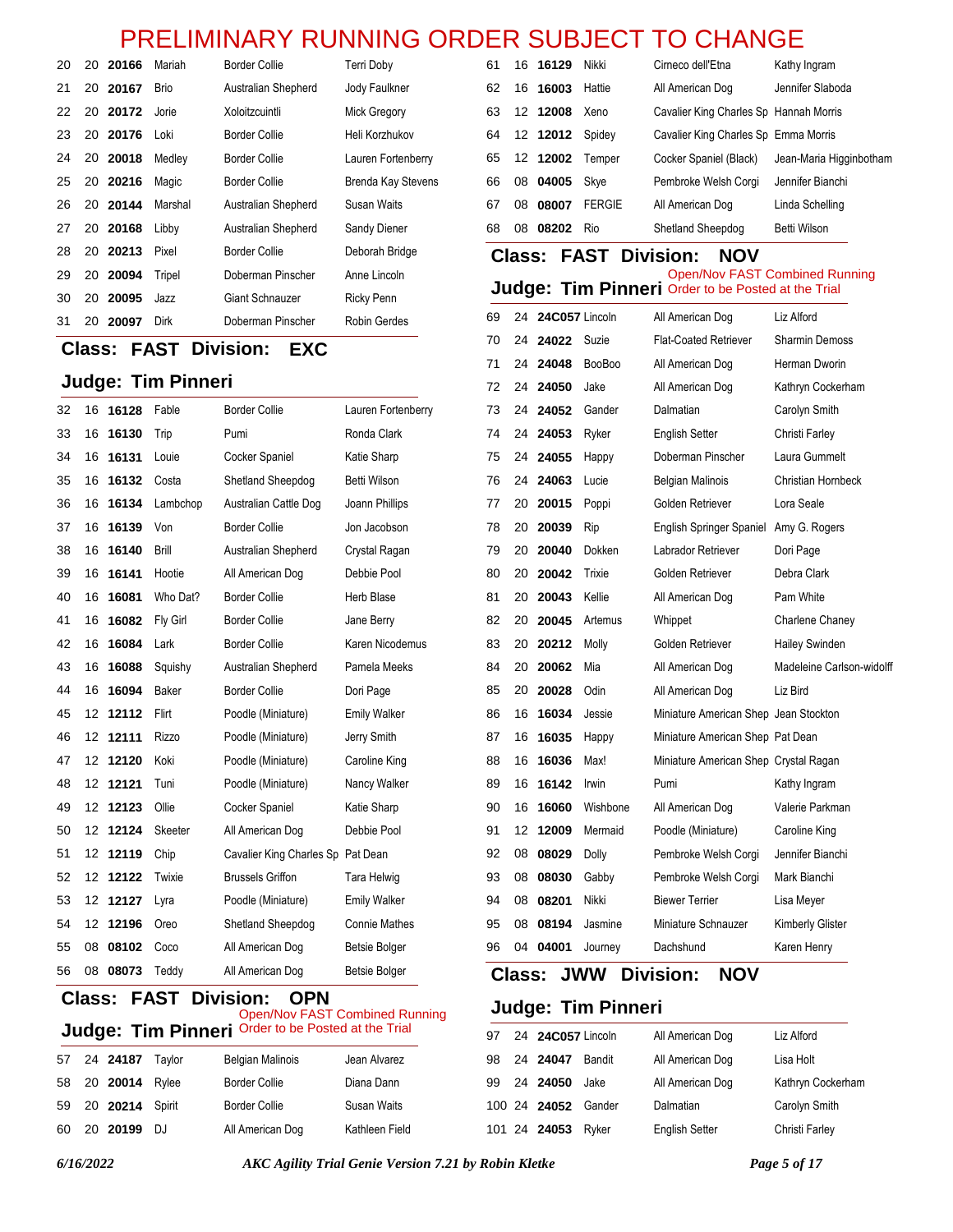| 20 |    | 20 20166 | Mariah      | Border Collie       | Terri Doby                |
|----|----|----------|-------------|---------------------|---------------------------|
| 21 |    | 20 20167 | <b>Brio</b> | Australian Shepherd | Jody Faulkner             |
| 22 |    | 20 20172 | Jorie       | Xoloitzcuintli      | Mick Gregory              |
| 23 |    | 20 20176 | Loki        | Border Collie       | Heli Korzhukov            |
| 24 |    | 20 20018 | Medley      | Border Collie       | Lauren Fortenberry        |
| 25 |    | 20 20216 | Magic       | Border Collie       | <b>Brenda Kay Stevens</b> |
| 26 |    | 20 20144 | Marshal     | Australian Shepherd | Susan Waits               |
| 27 |    | 20 20168 | Libby       | Australian Shepherd | Sandy Diener              |
| 28 |    | 20 20213 | Pixel       | Border Collie       | Deborah Bridge            |
| 29 |    | 20 20094 | Tripel      | Doberman Pinscher   | Anne Lincoln              |
| 30 | 20 | 20095    | Jazz        | Giant Schnauzer     | Ricky Penn                |
| 31 | 20 | 20097    | Dirk        | Doberman Pinscher   | Robin Gerdes              |

#### **Class: FAST Division: EXC**

#### **Judge: Tim Pinneri**

| 32 | 16 | 16128 | Fable    | <b>Border Collie</b>              | Lauren Fortenberry   |
|----|----|-------|----------|-----------------------------------|----------------------|
| 33 | 16 | 16130 | Trip     | Pumi                              | Ronda Clark          |
| 34 | 16 | 16131 | Louie    | Cocker Spaniel                    | Katie Sharp          |
| 35 | 16 | 16132 | Costa    | Shetland Sheepdog                 | Betti Wilson         |
| 36 | 16 | 16134 | Lambchop | Australian Cattle Dog             | Joann Phillips       |
| 37 | 16 | 16139 | Von      | <b>Border Collie</b>              | Jon Jacobson         |
| 38 | 16 | 16140 | Brill    | Australian Shepherd               | Crystal Ragan        |
| 39 | 16 | 16141 | Hootie   | All American Dog                  | Debbie Pool          |
| 40 | 16 | 16081 | Who Dat? | <b>Border Collie</b>              | Herb Blase           |
| 41 | 16 | 16082 | Fly Girl | <b>Border Collie</b>              | Jane Berry           |
| 42 | 16 | 16084 | Lark     | <b>Border Collie</b>              | Karen Nicodemus      |
| 43 | 16 | 16088 | Squishy  | Australian Shepherd               | Pamela Meeks         |
| 44 | 16 | 16094 | Baker    | <b>Border Collie</b>              | Dori Page            |
| 45 | 12 | 12112 | Flirt    | Poodle (Miniature)                | <b>Emily Walker</b>  |
| 46 | 12 | 12111 | Rizzo    | Poodle (Miniature)                | Jerry Smith          |
| 47 | 12 | 12120 | Koki     | Poodle (Miniature)                | Caroline King        |
| 48 | 12 | 12121 | Tuni     | Poodle (Miniature)                | Nancy Walker         |
| 49 | 12 | 12123 | Ollie    | Cocker Spaniel                    | Katie Sharp          |
| 50 | 12 | 12124 | Skeeter  | All American Dog                  | Debbie Pool          |
| 51 | 12 | 12119 | Chip     | Cavalier King Charles Sp Pat Dean |                      |
| 52 | 12 | 12122 | Twixie   | <b>Brussels Griffon</b>           | Tara Helwig          |
| 53 | 12 | 12127 | Lyra     | Poodle (Miniature)                | <b>Emily Walker</b>  |
| 54 | 12 | 12196 | Oreo     | Shetland Sheepdog                 | <b>Connie Mathes</b> |
| 55 | 08 | 08102 | Coco     | All American Dog                  | <b>Betsie Bolger</b> |
| 56 | 08 | 08073 | Teddy    | All American Dog                  | <b>Betsie Bolger</b> |

#### **Class: FAST Division: OPN Judge: Tim Pinneri** Order to be Posted at the Trial Open/Nov FAST Combined Running

|  | 57 24 24187 Taylor | <b>Belgian Malinois</b> | Jean Alvarez   |
|--|--------------------|-------------------------|----------------|
|  | 58 20 20014 Rylee  | <b>Border Collie</b>    | Diana Dann     |
|  | 59 20 20214 Spirit | <b>Border Collie</b>    | Susan Waits    |
|  | 60 20 20199 DJ     | All American Dog        | Kathleen Field |

| 61 | 16 | 16129    | Nikki         | Cirneco dell'Etna                      | Kathy Ingram            |
|----|----|----------|---------------|----------------------------------------|-------------------------|
| 62 |    | 16 16003 | Hattie        | All American Dog                       | Jennifer Slaboda        |
| 63 |    | 12 12008 | Xeno          | Cavalier King Charles Sp Hannah Morris |                         |
| 64 |    | 12 12012 | Spidev        | Cavalier King Charles Sp Emma Morris   |                         |
| 65 |    | 12 12002 | Temper        | Cocker Spaniel (Black)                 | Jean-Maria Higginbotham |
| 66 | 08 | 04005    | Skye          | Pembroke Welsh Corgi                   | Jennifer Bianchi        |
| 67 | 08 | 08007    | <b>FERGIE</b> | All American Dog                       | Linda Schelling         |
| 68 | 08 | 08202    | Rio           | Shetland Sheepdog                      | Betti Wilson            |

# **Class: FAST Division: NOV**

#### Open/Nov FAST Combined Running<br>**Judge: Tim Pinneri** Order to be Posted at the Trial Order to be Posted at the Trial

| 69 | 24 | 24C057 Lincoln |               | All American Dog                       | Liz Alford                |
|----|----|----------------|---------------|----------------------------------------|---------------------------|
| 70 | 24 | 24022          | Suzie         | <b>Flat-Coated Retriever</b>           | <b>Sharmin Demoss</b>     |
| 71 | 24 | 24048          | <b>BooBoo</b> | All American Dog                       | Herman Dworin             |
| 72 | 24 | 24050          | Jake          | All American Dog                       | Kathryn Cockerham         |
| 73 | 24 | 24052          | Gander        | Dalmatian                              | Carolyn Smith             |
| 74 | 24 | 24053          | Ryker         | <b>English Setter</b>                  | Christi Farley            |
| 75 | 24 | 24055          | Happy         | Doberman Pinscher                      | Laura Gummelt             |
| 76 | 24 | 24063          | Lucie         | Belgian Malinois                       | Christian Hornbeck        |
| 77 | 20 | 20015          | Poppi         | Golden Retriever                       | Lora Seale                |
| 78 | 20 | 20039          | Rip           | English Springer Spaniel Amy G. Rogers |                           |
| 79 | 20 | 20040          | Dokken        | Labrador Retriever                     | Dori Page                 |
| 80 | 20 | 20042          | Trixie        | Golden Retriever                       | Debra Clark               |
| 81 | 20 | 20043          | Kellie        | All American Dog                       | Pam White                 |
| 82 | 20 | 20045          | Artemus       | Whippet                                | Charlene Chaney           |
| 83 | 20 | 20212          | Molly         | Golden Retriever                       | <b>Hailey Swinden</b>     |
| 84 | 20 | 20062          | Mia           | All American Dog                       | Madeleine Carlson-widolff |
| 85 | 20 | 20028          | Odin          | All American Dog                       | Liz Bird                  |
| 86 | 16 | 16034          | Jessie        | Miniature American Shep Jean Stockton  |                           |
| 87 | 16 | 16035          | Happy         | Miniature American Shep Pat Dean       |                           |
| 88 | 16 | 16036          | Max!          | Miniature American Shep Crystal Ragan  |                           |
| 89 | 16 | 16142          | Irwin         | Pumi                                   | Kathy Ingram              |
| 90 | 16 | 16060          | Wishbone      | All American Dog                       | Valerie Parkman           |
| 91 | 12 | 12009          | Mermaid       | Poodle (Miniature)                     | Caroline King             |
| 92 | 08 | 08029          | Dolly         | Pembroke Welsh Corgi                   | Jennifer Bianchi          |
| 93 | 08 | 08030          | Gabby         | Pembroke Welsh Corgi                   | Mark Bianchi              |
| 94 | 08 | 08201          | Nikki         | <b>Biewer Terrier</b>                  | Lisa Meyer                |
| 95 | 08 | 08194          | Jasmine       | Miniature Schnauzer                    | Kimberly Glister          |
| 96 | 04 | 04001          | Journey       | Dachshund                              | Karen Henry               |

### **Class: JWW Division: NOV**

|  | 97 24 24C057 Lincoln |        | All American Dog      | Liz Alford        |
|--|----------------------|--------|-----------------------|-------------------|
|  | 98 24 24047          | Bandit | All American Dog      | Lisa Holt         |
|  | 99 24 24050          | Jake   | All American Dog      | Kathryn Cockerham |
|  | 100 24 24052         | Gander | Dalmatian             | Carolyn Smith     |
|  | 101 24 24053         | Rvker  | <b>English Setter</b> | Christi Farley    |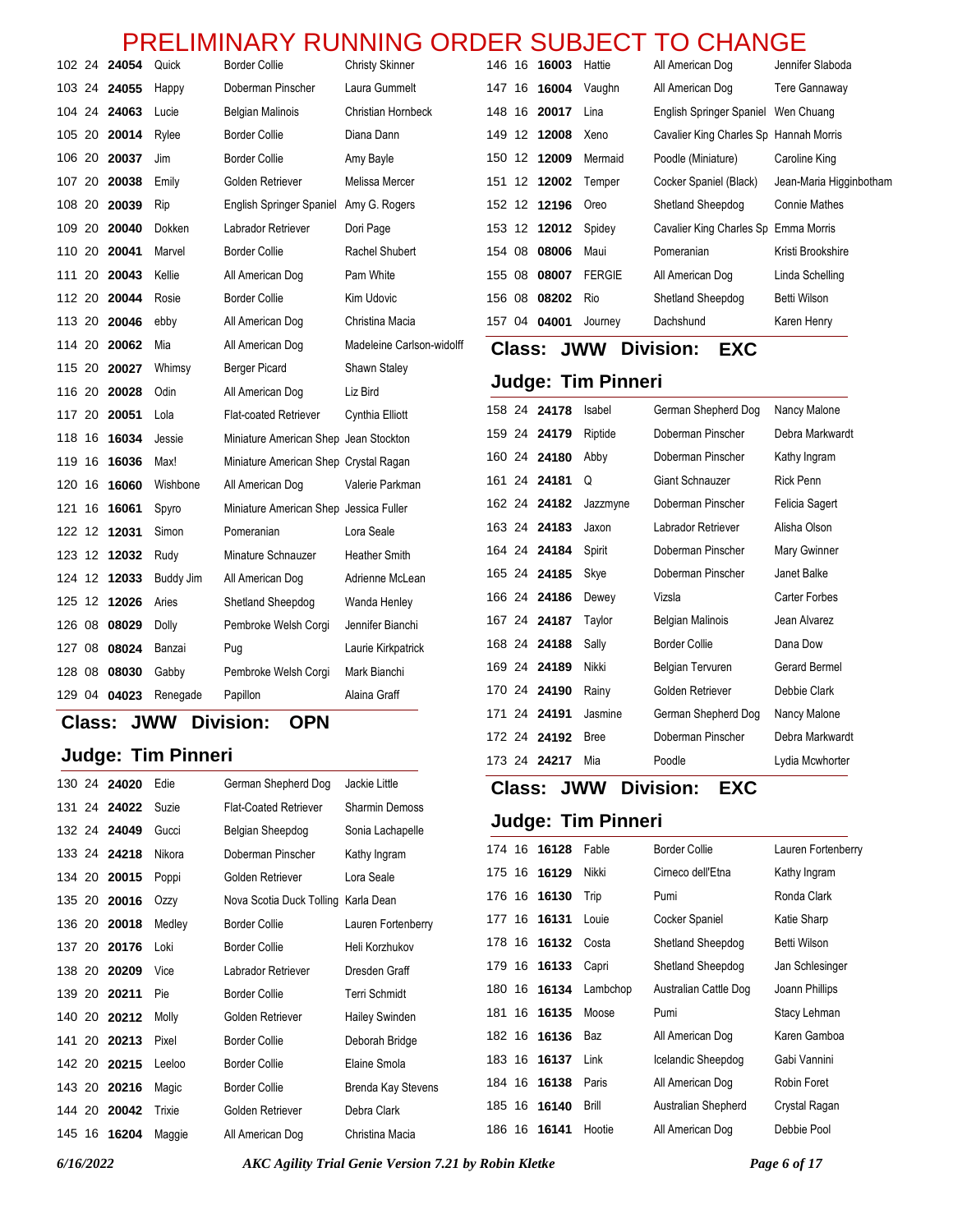|              |       |           | <b>NLLIIVIIIVANI</b>                   | <b>NUIVININU</b><br>UND   |        |               | ◡                   | UDJLV I                   | בטוחות ט                               |                         |
|--------------|-------|-----------|----------------------------------------|---------------------------|--------|---------------|---------------------|---------------------------|----------------------------------------|-------------------------|
| 102 24 24054 |       | Quick     | <b>Border Collie</b>                   | <b>Christy Skinner</b>    |        |               | 146 16 <b>16003</b> | Hattie                    | All American Dog                       | Jennifer Slaboda        |
| 103 24 24055 |       | Happy     | Doberman Pinscher                      | Laura Gummelt             |        |               | 147 16 16004        | Vaughn                    | All American Dog                       | Tere Gannaway           |
| 104 24 24063 |       | Lucie     | <b>Belgian Malinois</b>                | Christian Hornbeck        |        |               | 148 16 20017        | Lina                      | English Springer Spaniel               | Wen Chuang              |
| 105 20 20014 |       | Rylee     | <b>Border Collie</b>                   | Diana Dann                |        |               | 149 12 12008        | Xeno                      | Cavalier King Charles Sp Hannah Morris |                         |
| 106 20 20037 |       | Jim       | <b>Border Collie</b>                   | Amy Bayle                 |        |               | 150 12 12009        | Mermaid                   | Poodle (Miniature)                     | Caroline King           |
| 107 20       | 20038 | Emily     | Golden Retriever                       | Melissa Mercer            |        |               | 151 12 12002        | Temper                    | Cocker Spaniel (Black)                 | Jean-Maria Higginbotham |
| 108 20       | 20039 | Rip       | English Springer Spaniel               | Amy G. Rogers             |        |               | 152 12 12196        | Oreo                      | Shetland Sheepdog                      | <b>Connie Mathes</b>    |
| 109 20 20040 |       | Dokken    | Labrador Retriever                     | Dori Page                 |        |               | 153 12 12012        | Spidey                    | Cavalier King Charles Sp Emma Morris   |                         |
| 110 20       | 20041 | Marvel    | <b>Border Collie</b>                   | Rachel Shubert            |        |               | 154 08 08006        | Maui                      | Pomeranian                             | Kristi Brookshire       |
| 111 20       | 20043 | Kellie    | All American Dog                       | Pam White                 | 155 08 |               | 08007               | <b>FERGIE</b>             | All American Dog                       | Linda Schelling         |
| 112 20 20044 |       | Rosie     | <b>Border Collie</b>                   | Kim Udovic                |        |               | 156 08 08202        | Rio                       | Shetland Sheepdog                      | <b>Betti Wilson</b>     |
| 113 20 20046 |       | ebby      | All American Dog                       | Christina Macia           |        |               | 157 04 04001        | Journey                   | Dachshund                              | Karen Henry             |
| 114 20       | 20062 | Mia       | All American Dog                       | Madeleine Carlson-widolff |        | <b>Class:</b> |                     | <b>JWW</b>                | <b>Division:</b><br><b>EXC</b>         |                         |
| 115 20 20027 |       | Whimsy    | <b>Berger Picard</b>                   | Shawn Staley              |        |               |                     |                           |                                        |                         |
| 116 20 20028 |       | Odin      | All American Dog                       | Liz Bird                  |        |               |                     | <b>Judge: Tim Pinneri</b> |                                        |                         |
| 117 20 20051 |       | Lola      | Flat-coated Retriever                  | Cynthia Elliott           |        |               | 158 24 24178        | Isabel                    | German Shepherd Dog                    | Nancy Malone            |
| 118 16 16034 |       | Jessie    | Miniature American Shep Jean Stockton  |                           |        |               | 159 24 24179        | Riptide                   | Doberman Pinscher                      | Debra Markwardt         |
| 119 16 16036 |       | Max!      | Miniature American Shep Crystal Ragan  |                           |        |               | 160 24 24180        | Abby                      | Doberman Pinscher                      | Kathy Ingram            |
| 120 16 16060 |       | Wishbone  | All American Dog                       | Valerie Parkman           |        |               | 161 24 24181        | Q                         | Giant Schnauzer                        | <b>Rick Penn</b>        |
| 121 16 16061 |       | Spyro     | Miniature American Shep Jessica Fuller |                           |        |               | 162 24 24182        | Jazzmyne                  | Doberman Pinscher                      | Felicia Sagert          |
| 122 12 12031 |       | Simon     | Pomeranian                             | Lora Seale                |        |               | 163 24 24183        | Jaxon                     | Labrador Retriever                     | Alisha Olson            |
| 123 12 12032 |       | Rudy      | Minature Schnauzer                     | <b>Heather Smith</b>      |        |               | 164 24 24184        | Spirit                    | Doberman Pinscher                      | Mary Gwinner            |
| 124 12 12033 |       | Buddy Jim | All American Dog                       | Adrienne McLean           |        |               | 165 24 24185        | Skye                      | Doberman Pinscher                      | Janet Balke             |
| 125 12 12026 |       | Aries     | Shetland Sheepdog                      | Wanda Henley              |        |               | 166 24 24186        | Dewey                     | Vizsla                                 | Carter Forbes           |
| 126 08       | 08029 | Dolly     | Pembroke Welsh Corgi                   | Jennifer Bianchi          |        |               | 167 24 24187        | Taylor                    | <b>Belgian Malinois</b>                | Jean Alvarez            |
| 127 08       | 08024 | Banzai    | Pug                                    | Laurie Kirkpatrick        |        |               | 168 24 24188        | Sally                     | <b>Border Collie</b>                   | Dana Dow                |
| 128 08 08030 |       | Gabby     | Pembroke Welsh Corgi                   | Mark Bianchi              |        |               | 169 24 24189        | Nikki                     | <b>Belgian Tervuren</b>                | Gerard Bermel           |
| 129 04 04023 |       | Renegade  | Papillon                               | Alaina Graff              |        |               | 170 24 24190        | Rainy                     | Golden Retriever                       | Debbie Clark            |

#### **Class: JWW Division: OPN**

### **Judge: Tim Pinneri**

|        | 130 24 24020 | Edie   | German Shepherd Dog                 | Jackie Little         |
|--------|--------------|--------|-------------------------------------|-----------------------|
| 131 24 | 24022        | Suzie  | <b>Flat-Coated Retriever</b>        | <b>Sharmin Demoss</b> |
|        | 132 24 24049 | Gucci  | Belgian Sheepdog                    | Sonia Lachapelle      |
|        | 133 24 24218 | Nikora | Doberman Pinscher                   | Kathy Ingram          |
| 134 20 | 20015        | Poppi  | Golden Retriever                    | Lora Seale            |
|        | 135 20 20016 | Ozzy   | Nova Scotia Duck Tolling Karla Dean |                       |
|        | 136 20 20018 | Medley | <b>Border Collie</b>                | Lauren Fortenberry    |
| 137 20 | 20176        | Loki   | <b>Border Collie</b>                | Heli Korzhukov        |
| 138 20 | 20209        | Vice   | Labrador Retriever                  | Dresden Graff         |
| 139 20 | 20211        | Pie    | <b>Border Collie</b>                | <b>Terri Schmidt</b>  |
| 140 20 | 20212        | Molly  | Golden Retriever                    | Hailey Swinden        |
| 141 20 | 20213        | Pixel  | <b>Border Collie</b>                | Deborah Bridge        |
| 142 20 | 20215        | Leeloo | <b>Border Collie</b>                | Elaine Smola          |
|        | 143 20 20216 | Magic  | <b>Border Collie</b>                | Brenda Kay Stevens    |
| 144 20 | 20042        | Trixie | Golden Retriever                    | Debra Clark           |
| 145 16 | 16204        | Maggie | All American Dog                    | Christina Macia       |
|        |              |        |                                     |                       |

16 **16128** Fable Border Collie Lauren Fortenberry

**Judge: Tim Pinneri**

**Class: JWW Division: EXC**

| 175 16 | 16129        | Nikki    | Cirneco dell'Etna     | Kathy Ingram    |
|--------|--------------|----------|-----------------------|-----------------|
|        | 176 16 16130 | Trip     | Pumi                  | Ronda Clark     |
|        | 177 16 16131 | Louie    | Cocker Spaniel        | Katie Sharp     |
|        | 178 16 16132 | Costa    | Shetland Sheepdog     | Betti Wilson    |
|        | 179 16 16133 | Capri    | Shetland Sheepdog     | Jan Schlesinger |
|        | 180 16 16134 | Lambchop | Australian Cattle Dog | Joann Phillips  |
|        | 181 16 16135 | Moose    | Pumi                  | Stacy Lehman    |
|        | 182 16 16136 | Baz      | All American Dog      | Karen Gamboa    |
|        | 183 16 16137 | Link     | Icelandic Sheepdog    | Gabi Vannini    |
| 184 16 | 16138        | Paris    | All American Dog      | Robin Foret     |
| 185 16 | 16140        | Brill    | Australian Shepherd   | Crystal Ragan   |
| 186 16 | 16141        | Hootie   | All American Dog      | Debbie Pool     |

 24 **24191** Jasmine German Shepherd Dog Nancy Malone 24 **24192** Bree Doberman Pinscher Debra Markwardt 24 **24217** Mia Poodle Lydia Mcwhorter

*6/16/2022 AKC Agility Trial Genie Version 7.21 by Robin Kletke Page 6 of 17*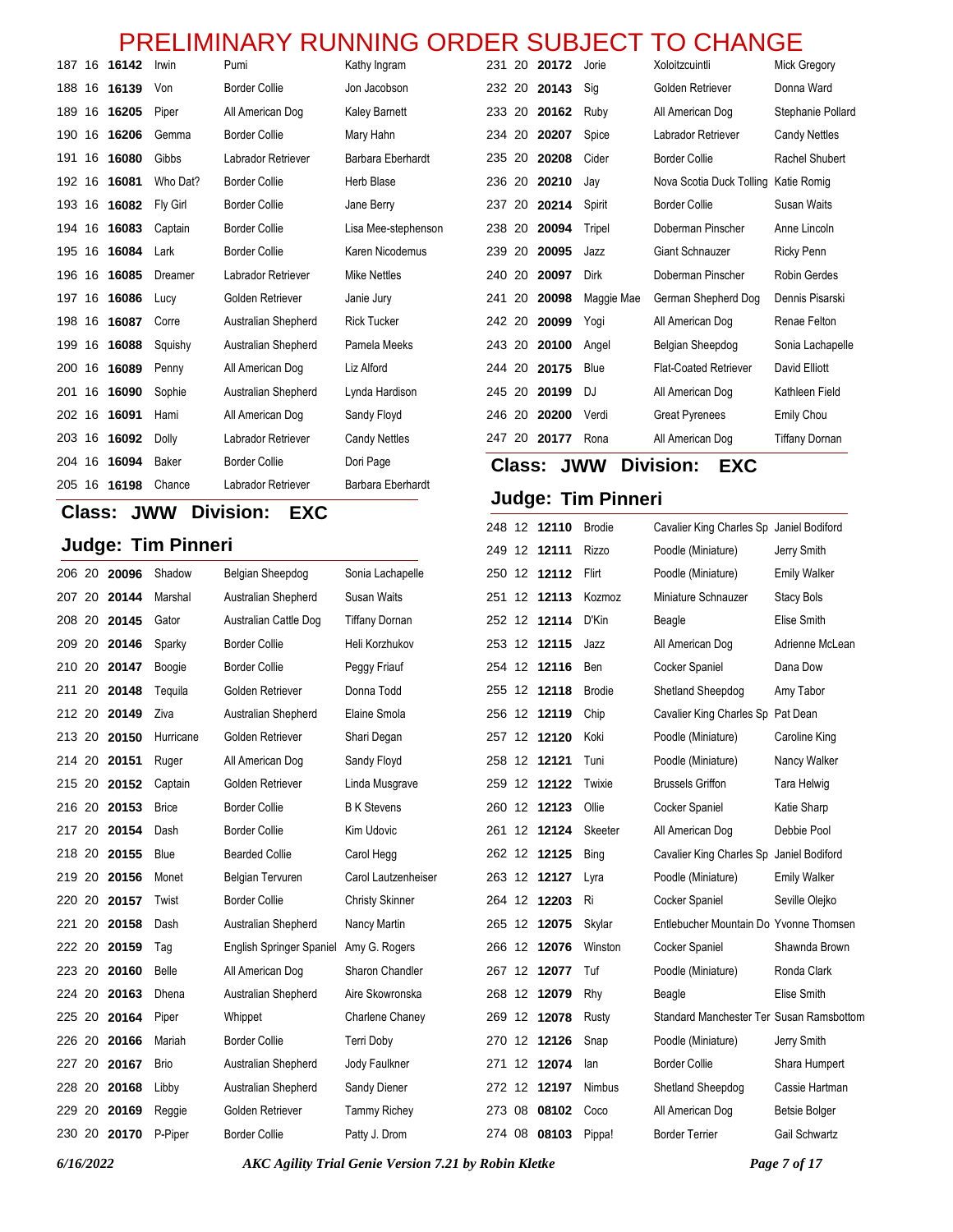| 187    |    | 16 16142     | Irwin           | Pumi                 | Kathy Ingram         | 231           |     | 20 20172     | Jorie                     | Xoloitzcuintli                       | <b>Mick Gregory</b>   |
|--------|----|--------------|-----------------|----------------------|----------------------|---------------|-----|--------------|---------------------------|--------------------------------------|-----------------------|
| 188    |    | 16 16139     | Von             | <b>Border Collie</b> | Jon Jacobson         |               |     | 232 20 20143 | Sig                       | Golden Retriever                     | Donna Ward            |
| 189    | 16 | 16205        | Piper           | All American Dog     | <b>Kaley Barnett</b> | 233 20        |     | 20162        | Ruby                      | All American Dog                     | Stephanie Pollard     |
| 190    | 16 | 16206        | Gemma           | <b>Border Collie</b> | Mary Hahn            | 234 20        |     | 20207        | Spice                     | Labrador Retriever                   | <b>Candy Nettles</b>  |
| 191    | 16 | 16080        | Gibbs           | Labrador Retriever   | Barbara Eberhardt    | 235           | -20 | 20208        | Cider                     | <b>Border Collie</b>                 | Rachel Shubert        |
| 192    | 16 | 16081        | Who Dat?        | <b>Border Collie</b> | <b>Herb Blase</b>    | 236           | -20 | 20210        | Jay                       | Nova Scotia Duck Tolling Katie Romig |                       |
| 193    | 16 | 16082        | <b>Fly Girl</b> | <b>Border Collie</b> | Jane Berry           | 237           | 20  | 20214        | Spirit                    | <b>Border Collie</b>                 | <b>Susan Waits</b>    |
| 194    | 16 | 16083        | Captain         | <b>Border Collie</b> | Lisa Mee-stephenson  | 238           | 20  | 20094        | Tripel                    | Doberman Pinscher                    | Anne Lincoln          |
| 195    | 16 | 16084        | Lark            | <b>Border Collie</b> | Karen Nicodemus      | 239 20        |     | 20095        | Jazz                      | <b>Giant Schnauzer</b>               | Ricky Penn            |
| 196    | 16 | 16085        | Dreamer         | Labrador Retriever   | <b>Mike Nettles</b>  | 240 20        |     | 20097        | Dirk                      | Doberman Pinscher                    | <b>Robin Gerdes</b>   |
| 197    | 16 | 16086        | Lucy            | Golden Retriever     | Janie Jury           | 241 20        |     | 20098        | Maggie Mae                | German Shepherd Dog                  | Dennis Pisarski       |
| 198    | 16 | 16087        | Corre           | Australian Shepherd  | <b>Rick Tucker</b>   | 242 20        |     | 20099        | Yogi                      | All American Dog                     | Renae Felton          |
| 199    | 16 | 16088        | Squishy         | Australian Shepherd  | Pamela Meeks         | 243 20        |     | 20100        | Angel                     | Belgian Sheepdog                     | Sonia Lachapelle      |
| 200    | 16 | 16089        | Penny           | All American Dog     | Liz Alford           | 244 20        |     | 20175        | Blue                      | <b>Flat-Coated Retriever</b>         | David Elliott         |
| 201    | 16 | 16090        | Sophie          | Australian Shepherd  | Lynda Hardison       |               |     | 245 20 20199 | DJ                        | All American Dog                     | Kathleen Field        |
| 202 16 |    | 16091        | Hami            | All American Dog     | Sandy Floyd          |               |     | 246 20 20200 | Verdi                     | <b>Great Pyrenees</b>                | <b>Emily Chou</b>     |
|        |    | 203 16 16092 | Dolly           | Labrador Retriever   | <b>Candy Nettles</b> |               |     | 247 20 20177 | Rona                      | All American Dog                     | <b>Tiffany Dornan</b> |
| 204 16 |    | 16094        | Baker           | <b>Border Collie</b> | Dori Page            | <b>Class:</b> |     |              | <b>JWW</b>                | <b>Division:</b><br><b>EXC</b>       |                       |
| 205    |    | 16 16198     | Chance          | Labrador Retriever   | Barbara Eberhardt    |               |     |              |                           |                                      |                       |
|        |    |              |                 |                      |                      |               |     |              | <b>Judge: Tim Pinneri</b> |                                      |                       |

# **Class: JWW Division: EXC**

### **Judge: Tim Pinneri**

| <b>Judge: Tim Pinneri</b> |  |              |              |                                 | 249 12 12111           | <b>Rizzo</b> | Poodle (Miniature) | Jerry Smith   |                                          |                      |
|---------------------------|--|--------------|--------------|---------------------------------|------------------------|--------------|--------------------|---------------|------------------------------------------|----------------------|
|                           |  | 206 20 20096 | Shadow       | Belgian Sheepdog                | Sonia Lachapelle       |              | 250 12 12112       | Flirt         | Poodle (Miniature)                       | <b>Emily Walker</b>  |
|                           |  | 207 20 20144 | Marshal      | Australian Shepherd             | <b>Susan Waits</b>     |              | 251 12 12113       | Kozmoz        | Miniature Schnauzer                      | <b>Stacy Bols</b>    |
| 208 20                    |  | 20145        | Gator        | Australian Cattle Dog           | <b>Tiffany Dornan</b>  |              | 252 12 12114       | D'Kin         | Beagle                                   | Elise Smith          |
|                           |  | 209 20 20146 | Sparky       | <b>Border Collie</b>            | Heli Korzhukov         |              | 253 12 12115       | Jazz          | All American Dog                         | Adrienne McLean      |
|                           |  | 210 20 20147 | Boogie       | <b>Border Collie</b>            | Peggy Friauf           |              | 254 12 12116       | Ben           | Cocker Spaniel                           | Dana Dow             |
|                           |  | 211 20 20148 | Tequila      | Golden Retriever                | Donna Todd             |              | 255 12 12118       | <b>Brodie</b> | Shetland Sheepdog                        | Amy Tabor            |
| 212 20                    |  | 20149        | Ziva         | Australian Shepherd             | Elaine Smola           |              | 256 12 12119       | Chip          | Cavalier King Charles Sp Pat Dean        |                      |
| 213 20                    |  | 20150        | Hurricane    | Golden Retriever                | Shari Degan            |              | 257 12 12120       | Koki          | Poodle (Miniature)                       | Caroline King        |
|                           |  | 214 20 20151 | Ruger        | All American Dog                | Sandy Floyd            |              | 258 12 12121       | Tuni          | Poodle (Miniature)                       | Nancy Walker         |
|                           |  | 215 20 20152 | Captain      | Golden Retriever                | Linda Musgrave         |              | 259 12 12122       | Twixie        | <b>Brussels Griffon</b>                  | Tara Helwig          |
|                           |  | 216 20 20153 | <b>Brice</b> | <b>Border Collie</b>            | <b>B</b> K Stevens     |              | 260 12 12123       | Ollie         | Cocker Spaniel                           | Katie Sharp          |
|                           |  | 217 20 20154 | Dash         | <b>Border Collie</b>            | Kim Udovic             |              | 261 12 12124       | Skeeter       | All American Dog                         | Debbie Pool          |
|                           |  | 218 20 20155 | Blue         | <b>Bearded Collie</b>           | Carol Hegg             |              | 262 12 12125       | Bing          | Cavalier King Charles Sp Janiel Bodiford |                      |
| 219 20                    |  | 20156        | Monet        | <b>Belgian Tervuren</b>         | Carol Lautzenheiser    |              | 263 12 12127       | Lyra          | Poodle (Miniature)                       | <b>Emily Walker</b>  |
|                           |  | 220 20 20157 | Twist        | <b>Border Collie</b>            | <b>Christy Skinner</b> |              | 264 12 12203       | Ri            | <b>Cocker Spaniel</b>                    | Seville Olejko       |
| 221 20                    |  | 20158        | Dash         | Australian Shepherd             | Nancy Martin           |              | 265 12 12075       | Skylar        | Entlebucher Mountain Do Yvonne Thomsen   |                      |
| 222 20                    |  | 20159        | Taq          | <b>English Springer Spaniel</b> | Amy G. Rogers          |              | 266 12 12076       | Winston       | Cocker Spaniel                           | Shawnda Brown        |
|                           |  | 223 20 20160 | Belle        | All American Dog                | Sharon Chandler        |              | 267 12 12077       | Tuf           | Poodle (Miniature)                       | Ronda Clark          |
|                           |  | 224 20 20163 | Dhena        | Australian Shepherd             | Aire Skowronska        |              | 268 12 12079       | Rhy           | Beagle                                   | Elise Smith          |
|                           |  | 225 20 20164 | Piper        | Whippet                         | Charlene Chaney        |              | 269 12 12078       | Rusty         | Standard Manchester Ter Susan Ramsbottom |                      |
|                           |  | 226 20 20166 | Mariah       | <b>Border Collie</b>            | Terri Doby             |              | 270 12 12126       | Snap          | Poodle (Miniature)                       | Jerry Smith          |
| 227 20                    |  | 20167        | Brio         | Australian Shepherd             | Jody Faulkner          |              | 271 12 12074       | lan           | <b>Border Collie</b>                     | Shara Humpert        |
| 228 20                    |  | 20168        | Libby        | Australian Shepherd             | Sandy Diener           |              | 272 12 12197       | Nimbus        | Shetland Sheepdog                        | Cassie Hartman       |
|                           |  | 229 20 20169 | Reggie       | Golden Retriever                | <b>Tammy Richey</b>    | 273 08       | 08102              | Coco          | All American Dog                         | <b>Betsie Bolger</b> |
|                           |  | 230 20 20170 | P-Piper      | <b>Border Collie</b>            | Patty J. Drom          | 274 08       | 08103              | Pippa!        | <b>Border Terrier</b>                    | Gail Schwartz        |

*6/16/2022 AKC Agility Trial Genie Version 7.21 by Robin Kletke Page 7 of 17*

12 **12110** Brodie Cavalier King Charles Sp Janiel Bodiford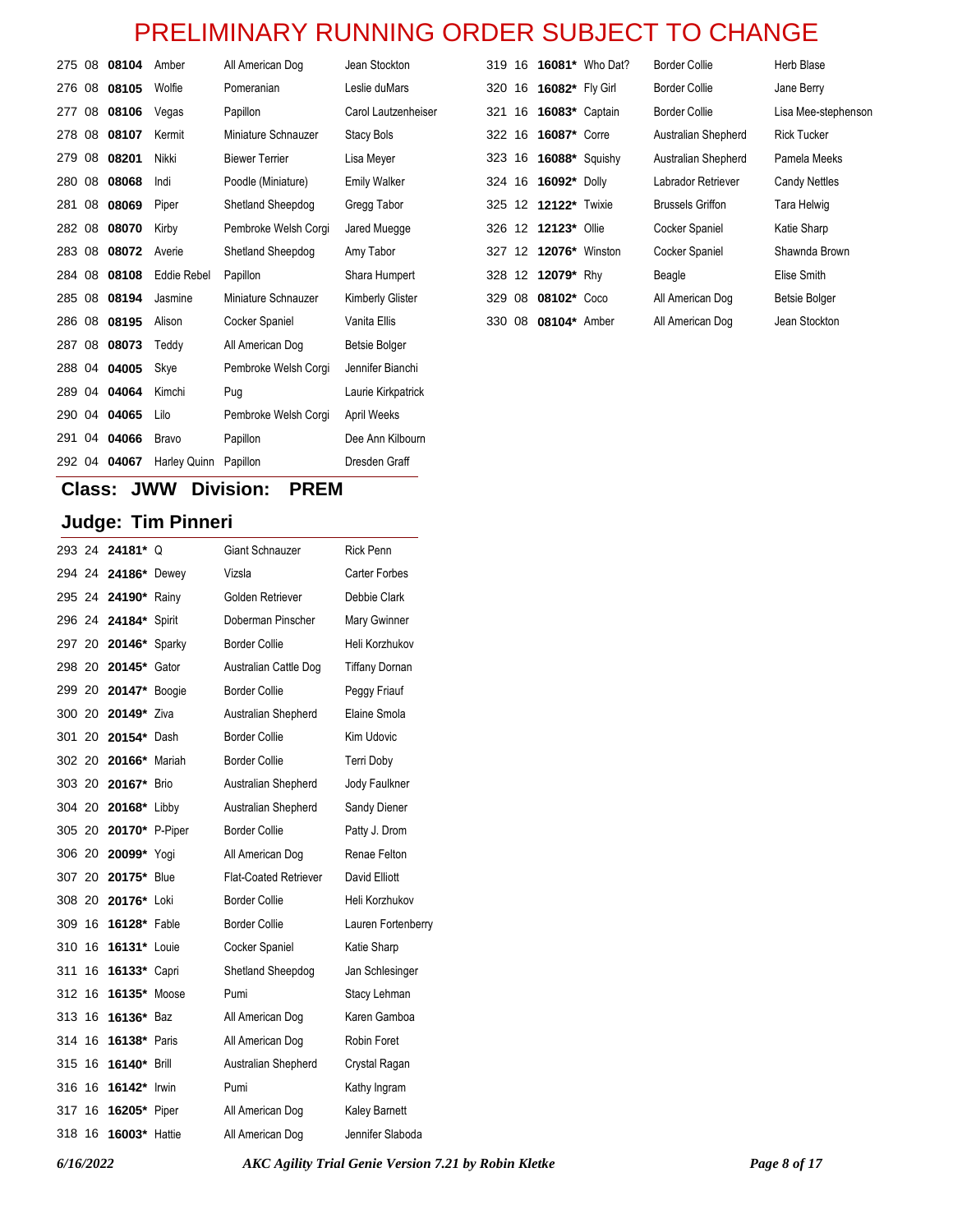| 275 08 08104 |              | Amber        | All American Dog      | Jean Stockton        | 319 16 |                   |                       | <b>16081*</b> Who Dat? | <b>Border Collie</b>    | Herb Blase           |
|--------------|--------------|--------------|-----------------------|----------------------|--------|-------------------|-----------------------|------------------------|-------------------------|----------------------|
| 276 08 08105 |              | Wolfie       | Pomeranian            | Leslie duMars        | 320 16 |                   | 16082* Fly Girl       |                        | <b>Border Collie</b>    | Jane Berry           |
|              | 277 08 08106 | Vegas        | Papillon              | Carol Lautzenheiser  | 321    | 16                | <b>16083*</b> Captain |                        | <b>Border Collie</b>    | Lisa Mee-stephensor  |
| 278 08 08107 |              | Kermit       | Miniature Schnauzer   | <b>Stacy Bols</b>    | 322 16 |                   | <b>16087*</b> Corre   |                        | Australian Shepherd     | <b>Rick Tucker</b>   |
| 279 08 08201 |              | Nikki        | <b>Biewer Terrier</b> | Lisa Meyer           | 323    | 16                | <b>16088*</b> Squishy |                        | Australian Shepherd     | Pamela Meeks         |
| 280 08       | 08068        | Indi         | Poodle (Miniature)    | <b>Emily Walker</b>  | 324 16 |                   | 16092* Dolly          |                        | Labrador Retriever      | <b>Candy Nettles</b> |
| 281 08 08069 |              | Piper        | Shetland Sheepdog     | Gregg Tabor          |        |                   | 325 12 12122* Twixie  |                        | <b>Brussels Griffon</b> | Tara Helwig          |
|              | 282 08 08070 | Kirby        | Pembroke Welsh Corgi  | Jared Muegge         |        |                   | 326 12 12123* Ollie   |                        | Cocker Spaniel          | Katie Sharp          |
| 283 08       | 08072        | Averie       | Shetland Sheepdog     | Amy Tabor            | 327    | 12 <sup>12</sup>  | 12076* Winston        |                        | Cocker Spaniel          | Shawnda Brown        |
| 284 08       | 08108        | Eddie Rebel  | Papillon              | Shara Humpert        | 328    | $12 \overline{ }$ | 12079* Rhy            |                        | Beagle                  | Elise Smith          |
| 285 08       | 08194        | Jasmine      | Miniature Schnauzer   | Kimberly Glister     | 329    | 08                | 08102* Coco           |                        | All American Dog        | Betsie Bolger        |
| 286 08 08195 |              | Alison       | Cocker Spaniel        | Vanita Ellis         |        |                   | 330 08 08104* Amber   |                        | All American Dog        | Jean Stockton        |
|              | 287 08 08073 | Teddy        | All American Dog      | <b>Betsie Bolger</b> |        |                   |                       |                        |                         |                      |
|              | 288 04 04005 | Skye         | Pembroke Welsh Corgi  | Jennifer Bianchi     |        |                   |                       |                        |                         |                      |
| 289 04       | 04064        | Kimchi       | Pug                   | Laurie Kirkpatrick   |        |                   |                       |                        |                         |                      |
| 290 04       | 04065        | Lilo         | Pembroke Welsh Corgi  | April Weeks          |        |                   |                       |                        |                         |                      |
|              | 291 04 04066 | <b>Bravo</b> | Papillon              | Dee Ann Kilbourn     |        |                   |                       |                        |                         |                      |

### **Class: JWW Division: PREM**

292 04 **04067** Harley Quinn Papillon Dresden Graff

|        | 293 24 24181* Q       |        | Giant Schnauzer              | <b>Rick Penn</b>      |
|--------|-----------------------|--------|------------------------------|-----------------------|
|        | 294 24 24186* Dewey   |        | Vizsla                       | Carter Forbes         |
|        | 295 24 24190* Rainy   |        | Golden Retriever             | Debbie Clark          |
|        | 296 24 24184*         | Spirit | Doberman Pinscher            | Mary Gwinner          |
| 297 20 | 20146* Sparky         |        | <b>Border Collie</b>         | Heli Korzhukov        |
| 298 20 | 20145* Gator          |        | Australian Cattle Dog        | <b>Tiffany Dornan</b> |
|        | 299 20 20147* Boogie  |        | <b>Border Collie</b>         | Peggy Friauf          |
| 300 20 | 20149* Ziva           |        | Australian Shepherd          | Elaine Smola          |
| 301 20 | 20154* Dash           |        | <b>Border Collie</b>         | Kim Udovic            |
| 302 20 | 20166*                | Mariah | <b>Border Collie</b>         | Terri Doby            |
| 303 20 | 20167* Brio           |        | Australian Shepherd          | Jody Faulkner         |
|        | 304 20 20168* Libby   |        | Australian Shepherd          | Sandy Diener          |
|        | 305 20 20170* P-Piper |        | <b>Border Collie</b>         | Patty J. Drom         |
| 306 20 | 20099* Yogi           |        | All American Dog             | Renae Felton          |
| 307 20 | 20175* Blue           |        | <b>Flat-Coated Retriever</b> | David Elliott         |
| 308 20 | 20176* Loki           |        | <b>Border Collie</b>         | Heli Korzhukov        |
| 309 16 | 16128* Fable          |        | <b>Border Collie</b>         | Lauren Fortenberry    |
| 310 16 | 16131* Louie          |        | Cocker Spaniel               | Katie Sharp           |
| 311 16 | 16133* Capri          |        | Shetland Sheepdog            | Jan Schlesinger       |
| 312 16 | 16135* Moose          |        | Pumi                         | Stacy Lehman          |
| 313 16 | 16136* Baz            |        | All American Dog             | Karen Gamboa          |
| 314 16 | 16138* Paris          |        | All American Dog             | Robin Foret           |
| 315 16 | <b>16140* Brill</b>   |        | Australian Shepherd          | Crystal Ragan         |
| 316 16 | 16142* Irwin          |        | Pumi                         | Kathy Ingram          |
| 317 16 | 16205* Piper          |        | All American Dog             | Kaley Barnett         |
| 318 16 | 16003* Hattie         |        | All American Dog             | Jennifer Slaboda      |
|        |                       |        |                              |                       |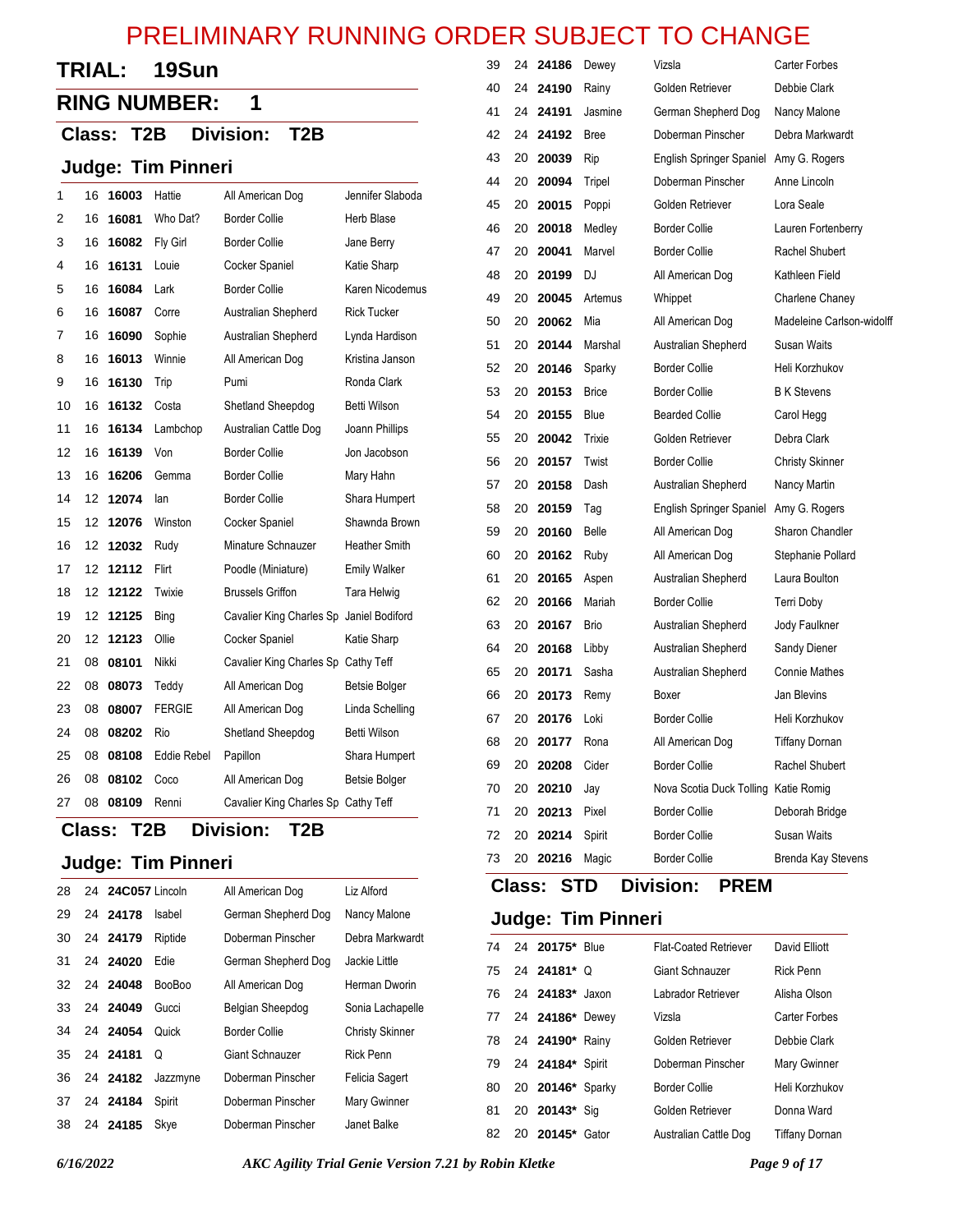| <b>TRIAL:</b> | 19Sun |
|---------------|-------|
|---------------|-------|

# **RING NUMBER: 1**

#### **Class: T2B Division: T2B**

#### **Judge: Tim Pinneri**

| 1  | 16 | 16003 | Hattie        | All American Dog                         | Jennifer Slaboda     |
|----|----|-------|---------------|------------------------------------------|----------------------|
| 2  | 16 | 16081 | Who Dat?      | <b>Border Collie</b>                     | Herb Blase           |
| 3  | 16 | 16082 | Fly Girl      | <b>Border Collie</b>                     | Jane Berry           |
| 4  | 16 | 16131 | Louie         | Cocker Spaniel                           | Katie Sharp          |
| 5  | 16 | 16084 | Lark          | <b>Border Collie</b>                     | Karen Nicodemus      |
| 6  | 16 | 16087 | Corre         | Australian Shepherd                      | <b>Rick Tucker</b>   |
| 7  | 16 | 16090 | Sophie        | Australian Shepherd                      | Lynda Hardison       |
| 8  | 16 | 16013 | Winnie        | All American Dog                         | Kristina Janson      |
| 9  | 16 | 16130 | Trip          | Pumi                                     | Ronda Clark          |
| 10 | 16 | 16132 | Costa         | Shetland Sheepdog                        | Betti Wilson         |
| 11 | 16 | 16134 | Lambchop      | Australian Cattle Dog                    | Joann Phillips       |
| 12 | 16 | 16139 | Von           | <b>Border Collie</b>                     | Jon Jacobson         |
| 13 | 16 | 16206 | Gemma         | <b>Border Collie</b>                     | Mary Hahn            |
| 14 | 12 | 12074 | lan           | <b>Border Collie</b>                     | Shara Humpert        |
| 15 | 12 | 12076 | Winston       | Cocker Spaniel                           | Shawnda Brown        |
| 16 | 12 | 12032 | Rudy          | Minature Schnauzer                       | <b>Heather Smith</b> |
| 17 | 12 | 12112 | Flirt         | Poodle (Miniature)                       | <b>Emily Walker</b>  |
| 18 | 12 | 12122 | Twixie        | <b>Brussels Griffon</b>                  | Tara Helwig          |
| 19 | 12 | 12125 | Bing          | Cavalier King Charles Sp Janiel Bodiford |                      |
| 20 | 12 | 12123 | Ollie         | Cocker Spaniel                           | Katie Sharp          |
| 21 | 08 | 08101 | Nikki         | Cavalier King Charles Sp Cathy Teff      |                      |
| 22 | 08 | 08073 | Teddy         | All American Dog                         | Betsie Bolger        |
| 23 | 08 | 08007 | <b>FERGIE</b> | All American Dog                         | Linda Schelling      |
| 24 | 08 | 08202 | Rio           | Shetland Sheepdog                        | Betti Wilson         |
| 25 | 08 | 08108 | Eddie Rebel   | Papillon                                 | Shara Humpert        |
| 26 | 08 | 08102 | Coco          | All American Dog                         | <b>Betsie Bolger</b> |
| 27 | 08 | 08109 | Renni         | Cavalier King Charles Sp Cathy Teff      |                      |
|    |    |       |               |                                          |                      |

### **Class: T2B Division: T2B**

### **Judge: Tim Pinneri**

| 28 | 24 <b>24C057</b> Lincoln |               | All American Dog    | Liz Alford             |
|----|--------------------------|---------------|---------------------|------------------------|
| 29 | 24 24178                 | Isabel        | German Shepherd Dog | Nancy Malone           |
| 30 | 24 24179                 | Riptide       | Doberman Pinscher   | Debra Markwardt        |
| 31 | 24 24020                 | Edie          | German Shepherd Dog | Jackie Little          |
|    | 32 24 24048              | <b>BooBoo</b> | All American Dog    | Herman Dworin          |
| 33 | 24 24049                 | Gucci         | Belgian Sheepdog    | Sonia Lachapelle       |
|    | 34 24 24054              | Quick         | Border Collie       | <b>Christy Skinner</b> |
|    | 35 24 24181              | Q             | Giant Schnauzer     | <b>Rick Penn</b>       |
|    | 36 24 <b>24182</b>       | Jazzmyne      | Doberman Pinscher   | Felicia Sagert         |
|    | 37 24 24184              | Spirit        | Doberman Pinscher   | Mary Gwinner           |
| 38 | 24 24185                 | Skye          | Doberman Pinscher   | Janet Balke            |

| 39 | 24 | 24186 | Dewey        | Vizsla                               | Carter Forbes             |
|----|----|-------|--------------|--------------------------------------|---------------------------|
| 40 | 24 | 24190 | Rainy        | Golden Retriever                     | Debbie Clark              |
| 41 | 24 | 24191 | Jasmine      | German Shepherd Dog                  | Nancy Malone              |
| 42 | 24 | 24192 | <b>Bree</b>  | Doberman Pinscher                    | Debra Markwardt           |
| 43 | 20 | 20039 | Rip          | English Springer Spaniel             | Amy G. Rogers             |
| 44 | 20 | 20094 | Tripel       | Doberman Pinscher                    | Anne Lincoln              |
| 45 | 20 | 20015 | Poppi        | Golden Retriever                     | Lora Seale                |
| 46 | 20 | 20018 | Medley       | Border Collie                        | Lauren Fortenberry        |
| 47 | 20 | 20041 | Marvel       | <b>Border Collie</b>                 | Rachel Shubert            |
| 48 | 20 | 20199 | DJ           | All American Dog                     | Kathleen Field            |
| 49 | 20 | 20045 | Artemus      | Whippet                              | Charlene Chaney           |
| 50 | 20 | 20062 | Mia          | All American Dog                     | Madeleine Carlson-widolf  |
| 51 | 20 | 20144 | Marshal      | Australian Shepherd                  | Susan Waits               |
| 52 | 20 | 20146 | Sparky       | <b>Border Collie</b>                 | Heli Korzhukov            |
| 53 | 20 | 20153 | <b>Brice</b> | <b>Border Collie</b>                 | <b>B</b> K Stevens        |
| 54 | 20 | 20155 | Blue         | <b>Bearded Collie</b>                | Carol Hegg                |
| 55 | 20 | 20042 | Trixie       | Golden Retriever                     | Debra Clark               |
| 56 | 20 | 20157 | Twist        | <b>Border Collie</b>                 | <b>Christy Skinner</b>    |
| 57 | 20 | 20158 | Dash         | Australian Shepherd                  | Nancy Martin              |
| 58 | 20 | 20159 | Taq          | <b>English Springer Spaniel</b>      | Amy G. Rogers             |
| 59 | 20 | 20160 | Belle        | All American Dog                     | Sharon Chandler           |
| 60 | 20 | 20162 | Ruby         | All American Dog                     | Stephanie Pollard         |
| 61 | 20 | 20165 | Aspen        | Australian Shepherd                  | Laura Boulton             |
| 62 | 20 | 20166 | Mariah       | <b>Border Collie</b>                 | <b>Terri Doby</b>         |
| 63 | 20 | 20167 | <b>Brio</b>  | Australian Shepherd                  | Jody Faulkner             |
| 64 | 20 | 20168 | Libby        | Australian Shepherd                  | Sandy Diener              |
| 65 | 20 | 20171 | Sasha        | Australian Shepherd                  | <b>Connie Mathes</b>      |
| 66 | 20 | 20173 | Remy         | Boxer                                | Jan Blevins               |
| 67 | 20 | 20176 | Loki         | <b>Border Collie</b>                 | Heli Korzhukov            |
| 68 | 20 | 20177 | Rona         | All American Dog                     | <b>Tiffany Dornan</b>     |
| 69 | 20 | 20208 | Cider        | <b>Border Collie</b>                 | Rachel Shubert            |
| 70 | 20 | 20210 | Jay          | Nova Scotia Duck Tolling Katie Romig |                           |
| 71 | 20 | 20213 | Pixel        | <b>Border Collie</b>                 | Deborah Bridge            |
| 72 | 20 | 20214 | Spirit       | <b>Border Collie</b>                 | <b>Susan Waits</b>        |
| 73 | 20 | 20216 | Magic        | <b>Border Collie</b>                 | <b>Brenda Kay Stevens</b> |
|    |    |       |              |                                      |                           |

### **Class: STD Division: PREM**

|  | 74 24 20175* Blue   | <b>Flat-Coated Retriever</b> | David Elliott         |
|--|---------------------|------------------------------|-----------------------|
|  | 75 24 24181* Q      | Giant Schnauzer              | <b>Rick Penn</b>      |
|  | 76 24 24183* Jaxon  | Labrador Retriever           | Alisha Olson          |
|  | 77 24 24186* Dewey  | Vizsla                       | Carter Forbes         |
|  | 78 24 24190* Rainy  | Golden Retriever             | Debbie Clark          |
|  | 79 24 24184* Spirit | Doberman Pinscher            | Mary Gwinner          |
|  | 80 20 20146* Sparky | Border Collie                | Heli Korzhukov        |
|  | 81 20 20143* Sig    | Golden Retriever             | Donna Ward            |
|  | 82 20 20145* Gator  | Australian Cattle Dog        | <b>Tiffany Dornan</b> |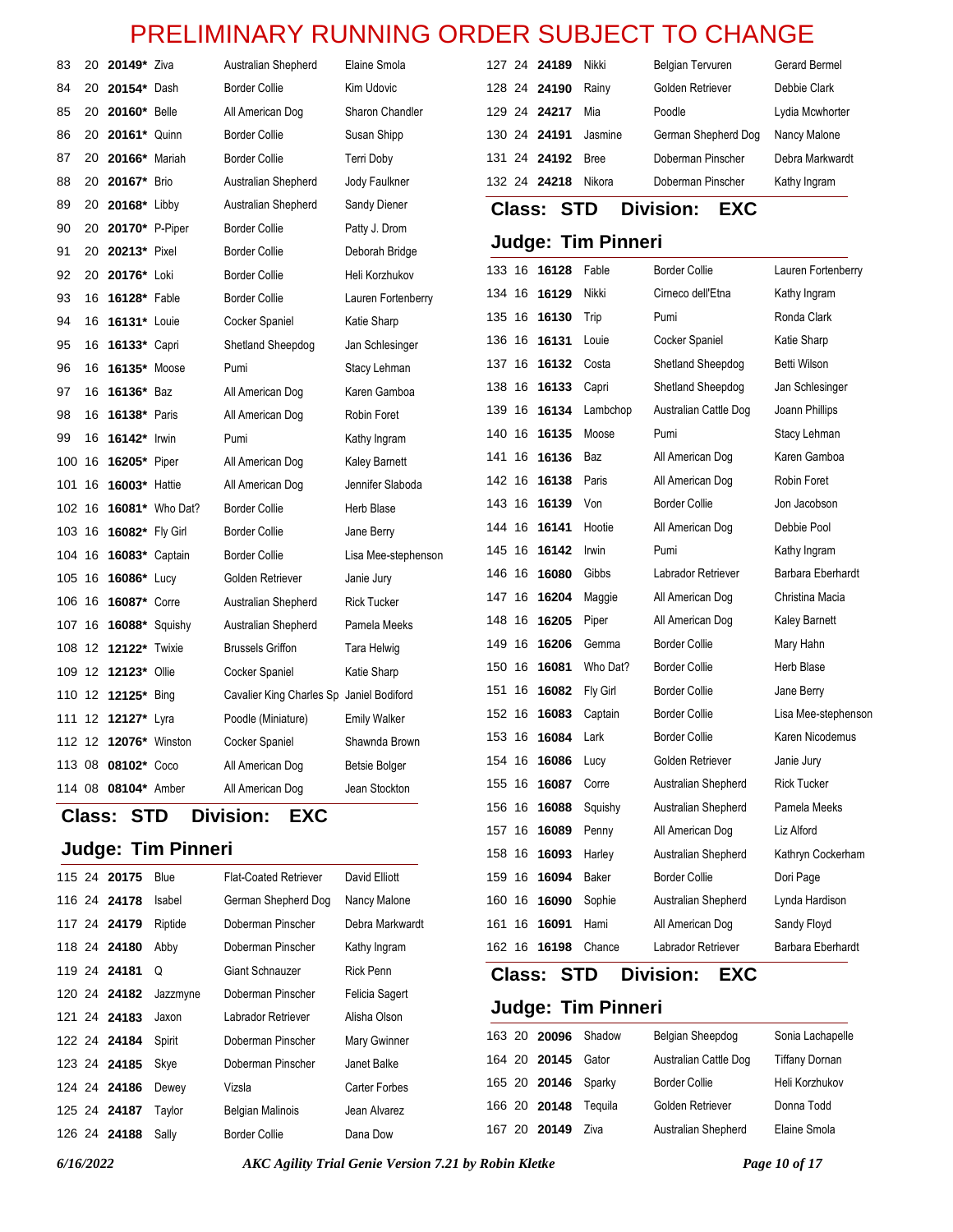| 83                                                               | 20 | <b>20149</b> * Ziva     |                        | Australian Shepherd                      | Elaine Smola         |        |    | 127 24 24189  | Nikki                     | Belgian Tervuren               | Gerard Bermel       |
|------------------------------------------------------------------|----|-------------------------|------------------------|------------------------------------------|----------------------|--------|----|---------------|---------------------------|--------------------------------|---------------------|
| 84                                                               | 20 | 20154* Dash             |                        | <b>Border Collie</b>                     | Kim Udovic           |        |    | 128 24 24190  | Rainy                     | Golden Retriever               | Debbie Clark        |
| 85                                                               | 20 | 20160* Belle            |                        | All American Dog                         | Sharon Chandler      |        |    | 129 24 24217  | Mia                       | Poodle                         | Lydia Mcwhorter     |
| 86                                                               | 20 | 20161* Quinn            |                        | <b>Border Collie</b>                     | Susan Shipp          |        |    | 130 24 24191  | Jasmine                   | German Shepherd Dog            | Nancy Malone        |
| 87                                                               | 20 | 20166* Mariah           |                        | <b>Border Collie</b>                     | <b>Terri Doby</b>    |        |    | 131 24 24192  | <b>Bree</b>               | Doberman Pinscher              | Debra Markwardt     |
| 88                                                               | 20 | 20167* Brio             |                        | Australian Shepherd                      | Jody Faulkner        |        |    | 132 24 24218  | Nikora                    | Doberman Pinscher              | Kathy Ingram        |
| 89                                                               | 20 | 20168* Libby            |                        | Australian Shepherd                      | Sandy Diener         |        |    | <b>Class:</b> | <b>STD</b>                | <b>Division:</b><br><b>EXC</b> |                     |
| 90                                                               | 20 | 20170* P-Piper          |                        | <b>Border Collie</b>                     | Patty J. Drom        |        |    |               |                           |                                |                     |
| 91                                                               |    | 20 20213* Pixel         |                        | <b>Border Collie</b>                     | Deborah Bridge       |        |    |               | <b>Judge: Tim Pinneri</b> |                                |                     |
| 92                                                               | 20 | 20176* Loki             |                        | <b>Border Collie</b>                     | Heli Korzhukov       |        |    | 133 16 16128  | Fable                     | <b>Border Collie</b>           | Lauren Fortenberry  |
| 93                                                               |    | 16 16128* Fable         |                        | <b>Border Collie</b>                     | Lauren Fortenberry   |        |    | 134 16 16129  | Nikki                     | Cirneco dell'Etna              | Kathy Ingram        |
| 94                                                               | 16 | 16131* Louie            |                        | <b>Cocker Spaniel</b>                    | Katie Sharp          | 135 16 |    | 16130         | Trip                      | Pumi                           | Ronda Clark         |
| 95                                                               |    | 16 16133* Capri         |                        | Shetland Sheepdog                        | Jan Schlesinger      | 136    |    | 16 16131      | Louie                     | Cocker Spaniel                 | Katie Sharp         |
| 96                                                               |    | 16 16135* Moose         |                        | Pumi                                     | Stacy Lehman         |        |    | 137 16 16132  | Costa                     | Shetland Sheepdog              | <b>Betti Wilson</b> |
| 97                                                               | 16 | 16136* Baz              |                        | All American Dog                         | Karen Gamboa         |        |    | 138 16 16133  | Capri                     | Shetland Sheepdog              | Jan Schlesinger     |
| 98                                                               |    | 16 <b>16138</b> * Paris |                        | All American Dog                         | Robin Foret          |        |    | 139 16 16134  | Lambchop                  | Australian Cattle Dog          | Joann Phillips      |
| 99                                                               | 16 | 16142* Irwin            |                        | Pumi                                     | Kathy Ingram         | 140 16 |    | 16135         | Moose                     | Pumi                           | Stacy Lehman        |
|                                                                  |    | 100 16 16205* Piper     |                        | All American Dog                         | <b>Kaley Barnett</b> | 141    | 16 | 16136         | Baz                       | All American Dog               | Karen Gamboa        |
|                                                                  |    | 101 16 16003* Hattie    |                        | All American Dog                         | Jennifer Slaboda     | 142 16 |    | 16138         | Paris                     | All American Dog               | Robin Foret         |
| 102 16                                                           |    |                         | <b>16081*</b> Who Dat? | <b>Border Collie</b>                     | Herb Blase           |        |    | 143 16 16139  | Von                       | Border Collie                  | Jon Jacobson        |
|                                                                  |    | 103 16 16082* Fly Girl  |                        | <b>Border Collie</b>                     | Jane Berry           |        |    | 144 16 16141  | Hootie                    | All American Dog               | Debbie Pool         |
|                                                                  |    | 104 16 16083* Captain   |                        | <b>Border Collie</b>                     | Lisa Mee-stephenson  |        |    | 145 16 16142  | Irwin                     | Pumi                           | Kathy Ingram        |
|                                                                  |    | 105 16 16086* Lucy      |                        | Golden Retriever                         | Janie Jury           |        |    | 146 16 16080  | Gibbs                     | Labrador Retriever             | Barbara Eberhardt   |
|                                                                  |    | 106 16 16087* Corre     |                        | Australian Shepherd                      | <b>Rick Tucker</b>   |        |    | 147 16 16204  | Maggie                    | All American Dog               | Christina Macia     |
|                                                                  |    | 107 16 16088* Squishy   |                        | Australian Shepherd                      | Pamela Meeks         |        |    | 148 16 16205  | Piper                     | All American Dog               | Kaley Barnett       |
|                                                                  |    | 108 12 12122*           | Twixie                 | <b>Brussels Griffon</b>                  | Tara Helwig          | 149 16 |    | 16206         | Gemma                     | <b>Border Collie</b>           | Mary Hahn           |
|                                                                  |    | 109 12 12123* Ollie     |                        | <b>Cocker Spaniel</b>                    | Katie Sharp          |        |    | 150 16 16081  | Who Dat?                  | <b>Border Collie</b>           | Herb Blase          |
|                                                                  |    | 110 12 12125* Bing      |                        | Cavalier King Charles Sp Janiel Bodiford |                      | 151    |    | 16 16082      | Fly Girl                  | <b>Border Collie</b>           | Jane Berry          |
|                                                                  |    | 111 12 12127* Lyra      |                        | Poodle (Miniature)                       | <b>Emily Walker</b>  |        |    | 152 16 16083  | Captain                   | <b>Border Collie</b>           | Lisa Mee-stephensor |
|                                                                  |    | 112 12 12076* Winston   |                        | Cocker Spaniel                           | Shawnda Brown        |        |    | 153 16 16084  | Lark                      | <b>Border Collie</b>           | Karen Nicodemus     |
|                                                                  |    | 113 08 08102* Coco      |                        | All American Dog                         | <b>Betsie Bolger</b> |        |    | 154 16 16086  | Lucy                      | Golden Retriever               | Janie Jury          |
|                                                                  |    | 114 08 08104* Amber     |                        | All American Dog                         | Jean Stockton        |        |    | 155 16 16087  | Corre                     | Australian Shepherd            | <b>Rick Tucker</b>  |
| 156 16<br><b>Division:</b><br><b>STD</b><br><b>EXC</b><br>Class: |    |                         |                        |                                          |                      |        |    | 16088         | Squishy                   | Australian Shepherd            | Pamela Meeks        |
|                                                                  |    |                         |                        |                                          |                      |        |    | 157 16 16089  | Penny                     | All American Dog               | Liz Alford          |

### **Judge: Tim Pinneri**

 $\overline{\phantom{a}}$ 

|  | 115 24 20175 | Blue     | <b>Flat-Coated Retriever</b> | David Elliott    |
|--|--------------|----------|------------------------------|------------------|
|  | 116 24 24178 | Isabel   | German Shepherd Dog          | Nancy Malone     |
|  | 117 24 24179 | Riptide  | Doberman Pinscher            | Debra Markwardt  |
|  | 118 24 24180 | Abby     | Doberman Pinscher            | Kathy Ingram     |
|  | 119 24 24181 | Q        | Giant Schnauzer              | <b>Rick Penn</b> |
|  | 120 24 24182 | Jazzmyne | Doberman Pinscher            | Felicia Sagert   |
|  | 121 24 24183 | Jaxon    | Labrador Retriever           | Alisha Olson     |
|  | 122 24 24184 | Spirit   | Doberman Pinscher            | Mary Gwinner     |
|  | 123 24 24185 | Skye     | Doberman Pinscher            | Janet Balke      |
|  | 124 24 24186 | Dewey    | Vizsla                       | Carter Forbes    |
|  | 125 24 24187 | Taylor   | <b>Belgian Malinois</b>      | Jean Alvarez     |
|  | 126 24 24188 | Sally    | Border Collie                | Dana Dow         |

20 **20096** Shadow Belgian Sheepdog Sonia Lachapelle

**Judge: Tim Pinneri**

|  | 164 20 20145             | Gator | Australian Cattle Dog | <b>Tiffany Dornan</b> |
|--|--------------------------|-------|-----------------------|-----------------------|
|  | 165 20 20146 Sparky      |       | <b>Border Collie</b>  | Heli Korzhukov        |
|  | 166 20 20148 Tequila     |       | Golden Retriever      | Donna Todd            |
|  | 167 20 <b>20149</b> Ziva |       | Australian Shepherd   | Elaine Smola          |

16 **16093** Harley Australian Shepherd Kathryn Cockerham

 16 **16094** Baker Border Collie Dori Page 16 **16090** Sophie Australian Shepherd Lynda Hardison 16 **16091** Hami All American Dog Sandy Floyd 16 **16198** Chance Labrador Retriever Barbara Eberhardt

**Class: STD Division: EXC**

*6/16/2022 AKC Agility Trial Genie Version 7.21 by Robin Kletke Page 10 of 17*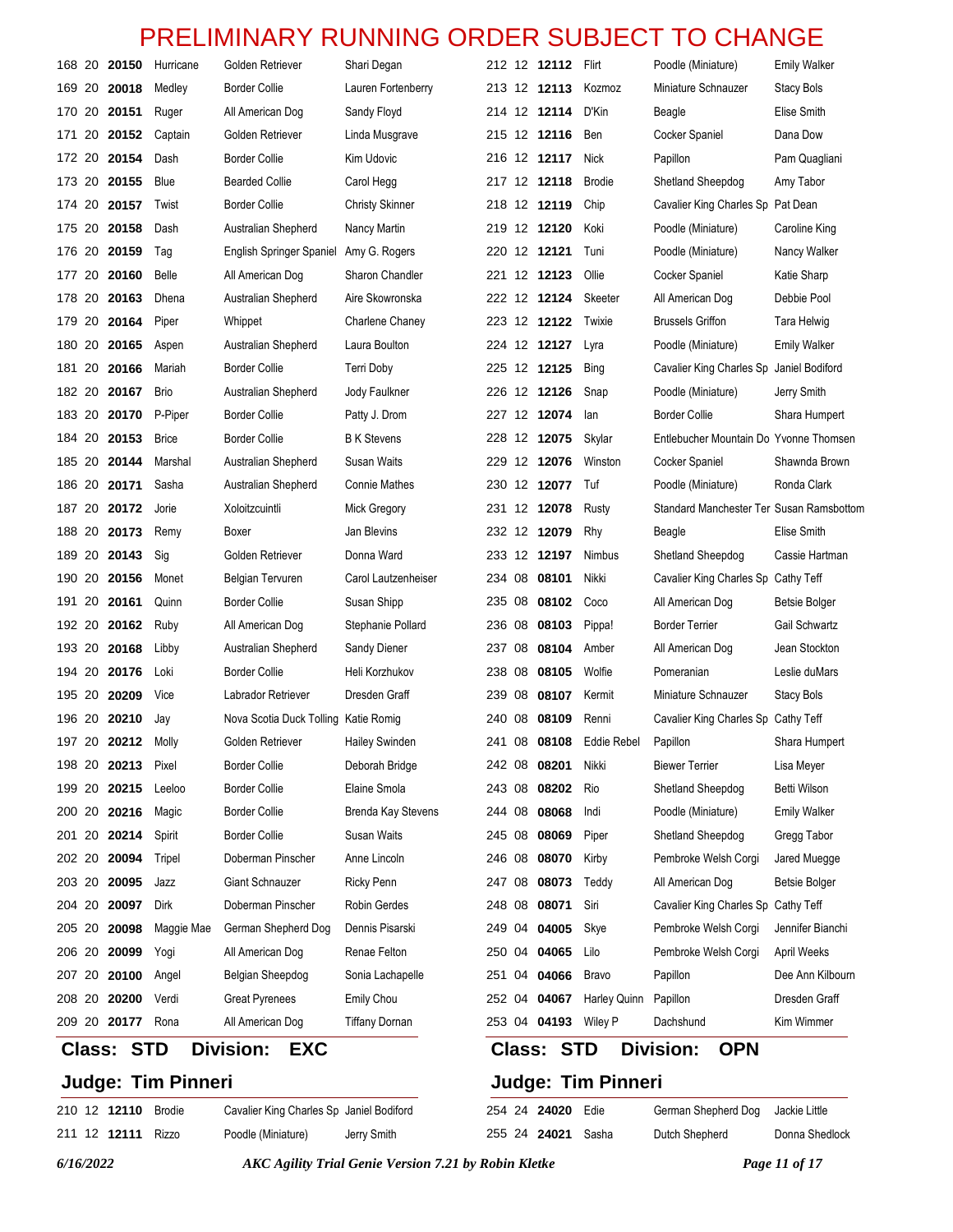|        |    | 168 20 20150      | Hurricane    | Golden Retriever                     | Shari Degan            |        |    | 212 12 12112      | Flirt         | Poodle (Miniature)                       | <b>Emily Walker</b>  |
|--------|----|-------------------|--------------|--------------------------------------|------------------------|--------|----|-------------------|---------------|------------------------------------------|----------------------|
| 169 20 |    | 20018             | Medley       | <b>Border Collie</b>                 | Lauren Fortenberry     |        |    | 213 12 12113      | Kozmoz        | Miniature Schnauzer                      | <b>Stacy Bols</b>    |
|        |    | 170 20 20151      | Ruger        | All American Dog                     | Sandy Floyd            |        |    | 214 12 12114      | D'Kin         | Beagle                                   | Elise Smith          |
| 171    | 20 | 20152             | Captain      | Golden Retriever                     | Linda Musgrave         |        |    | 215 12 12116      | Ben           | Cocker Spaniel                           | Dana Dow             |
|        |    | 172 20 20154      | Dash         | <b>Border Collie</b>                 | Kim Udovic             |        |    | 216 12 12117      | Nick          | Papillon                                 | Pam Quagliani        |
|        |    | 173 20 20155      | <b>Blue</b>  | <b>Bearded Collie</b>                | Carol Hegg             |        |    | 217 12 12118      | <b>Brodie</b> | Shetland Sheepdog                        | Amy Tabor            |
|        |    | 174 20 20157      | Twist        | <b>Border Collie</b>                 | <b>Christy Skinner</b> |        |    | 218 12 12119      | Chip          | Cavalier King Charles Sp                 | Pat Dean             |
| 175 20 |    | 20158             | Dash         | Australian Shepherd                  | Nancy Martin           |        |    | 219 12 12120      | Koki          | Poodle (Miniature)                       | Caroline King        |
|        |    | 176 20 20159      | Tag          | English Springer Spaniel             | Amy G. Rogers          |        |    | 220 12 12121      | Tuni          | Poodle (Miniature)                       | Nancy Walker         |
| 177 20 |    | 20160             | Belle        | All American Dog                     | Sharon Chandler        |        |    | 221 12 12123      | Ollie         | Cocker Spaniel                           | Katie Sharp          |
|        |    | 178 20 20163      | Dhena        | Australian Shepherd                  | Aire Skowronska        |        |    | 222 12 12124      | Skeeter       | All American Dog                         | Debbie Pool          |
| 179 20 |    | 20164             | Piper        | Whippet                              | Charlene Chaney        |        |    | 223 12 12122      | Twixie        | <b>Brussels Griffon</b>                  | Tara Helwig          |
|        |    | 180 20 20165      | Aspen        | Australian Shepherd                  | Laura Boulton          |        |    | 224 12 12127      | Lyra          | Poodle (Miniature)                       | <b>Emily Walker</b>  |
| 181 20 |    | 20166             | Mariah       | <b>Border Collie</b>                 | Terri Doby             |        |    | 225 12 12125      | <b>Bing</b>   | Cavalier King Charles Sp                 | Janiel Bodiford      |
|        |    | 182 20 20167      | <b>Brio</b>  | Australian Shepherd                  | Jody Faulkner          |        |    | 226 12 12126      | Snap          | Poodle (Miniature)                       | Jerry Smith          |
| 183 20 |    | 20170             | P-Piper      | <b>Border Collie</b>                 | Patty J. Drom          |        |    | 227 12 12074      | lan           | <b>Border Collie</b>                     | Shara Humpert        |
|        |    | 184 20 20153      | <b>Brice</b> | <b>Border Collie</b>                 | <b>B</b> K Stevens     |        |    | 228 12 12075      | Skylar        | Entlebucher Mountain Do Yvonne Thomsen   |                      |
| 185 20 |    | 20144             | Marshal      | Australian Shepherd                  | Susan Waits            |        |    | 229 12 12076      | Winston       | Cocker Spaniel                           | Shawnda Brown        |
|        |    | 186 20 20171      | Sasha        | Australian Shepherd                  | <b>Connie Mathes</b>   |        |    | 230 12 12077      | Tuf           | Poodle (Miniature)                       | Ronda Clark          |
|        |    | 187 20 20172      | Jorie        | Xoloitzcuintli                       | Mick Gregory           |        |    | 231 12 12078      | Rusty         | Standard Manchester Ter Susan Ramsbottom |                      |
|        |    | 188 20 20173      | Remy         | Boxer                                | Jan Blevins            |        |    | 232 12 12079      | Rhy           | Beagle                                   | Elise Smith          |
| 189 20 |    | 20143             | Sig          | Golden Retriever                     | Donna Ward             |        |    | 233 12 12197      | Nimbus        | Shetland Sheepdog                        | Cassie Hartman       |
|        |    | 190 20 20156      | Monet        | Belgian Tervuren                     | Carol Lautzenheiser    |        |    | 234 08 08101      | Nikki         | Cavalier King Charles Sp                 | Cathy Teff           |
| 191    | 20 | 20161             | Quinn        | <b>Border Collie</b>                 | Susan Shipp            |        |    | 235 08 08102      | Coco          | All American Dog                         | Betsie Bolger        |
|        |    | 192 20 20162      | Ruby         | All American Dog                     | Stephanie Pollard      |        |    | 236 08 08103      | Pippa!        | <b>Border Terrier</b>                    | Gail Schwartz        |
| 193 20 |    | 20168             | Libby        | Australian Shepherd                  | Sandy Diener           | 237    | 08 | 08104             | Amber         | All American Dog                         | Jean Stockton        |
|        |    | 194 20 20176      | Loki         | <b>Border Collie</b>                 | Heli Korzhukov         |        |    | 238 08 08105      | Wolfie        | Pomeranian                               | Leslie duMars        |
| 195 20 |    | 20209             | Vice         | Labrador Retriever                   | Dresden Graff          |        |    | 239 08 08107      | Kermit        | Miniature Schnauzer                      | Stacy Bols           |
|        |    | 196 20 20210      | Jay          | Nova Scotia Duck Tolling Katie Romig |                        |        |    | 240 08 08109      | Renni         | Cavalier King Charles Sp Cathy Teff      |                      |
|        |    | 197 20 20212      | Molly        | Golden Retriever                     | Hailey Swinden         |        |    | 241 08 08108      | Eddie Rebel   | Papillon                                 | Shara Humpert        |
|        |    | 198 20 20213      | Pixel        | <b>Border Collie</b>                 | Deborah Bridge         |        |    | 242 08 08201      | Nikki         | <b>Biewer Terrier</b>                    | Lisa Meyer           |
| 199 20 |    | 20215             | Leeloo       | <b>Border Collie</b>                 | Elaine Smola           | 243 08 |    | 08202             | Rio           | Shetland Sheepdog                        | Betti Wilson         |
|        |    | 200 20 20216      | Magic        | <b>Border Collie</b>                 | Brenda Kay Stevens     |        |    | 244 08 08068      | Indi          | Poodle (Miniature)                       | <b>Emily Walker</b>  |
| 201 20 |    | 20214             | Spirit       | <b>Border Collie</b>                 | <b>Susan Waits</b>     | 245 08 |    | 08069             | Piper         | Shetland Sheepdog                        | Gregg Tabor          |
|        |    | 202 20 20094      | Tripel       | Doberman Pinscher                    | Anne Lincoln           |        |    | 246 08 08070      | Kirby         | Pembroke Welsh Corgi                     | Jared Muegge         |
| 203 20 |    | 20095             | Jazz         | Giant Schnauzer                      | Ricky Penn             |        |    | 247 08 08073      | Teddy         | All American Dog                         | <b>Betsie Bolger</b> |
| 204 20 |    | 20097             | Dirk         | Doberman Pinscher                    | Robin Gerdes           |        |    | 248 08 08071      | Siri          | Cavalier King Charles Sp                 | Cathy Teff           |
| 205 20 |    | 20098             | Maggie Mae   | German Shepherd Dog                  | Dennis Pisarski        |        |    | 249 04 04005      | Skye          | Pembroke Welsh Corgi                     | Jennifer Bianchi     |
|        |    | 206 20 20099      | Yogi         | All American Dog                     | Renae Felton           |        |    | 250 04 04065      | Lilo          | Pembroke Welsh Corgi                     | April Weeks          |
| 207 20 |    | 20100             | Angel        | Belgian Sheepdog                     | Sonia Lachapelle       |        |    | 251 04 04066      | <b>Bravo</b>  | Papillon                                 | Dee Ann Kilbourn     |
|        |    | 208 20 20200      | Verdi        | <b>Great Pyrenees</b>                | Emily Chou             |        |    | 252 04 04067      | Harley Quinn  | Papillon                                 | Dresden Graff        |
|        |    | 209 20 20177      | Rona         | All American Dog                     | <b>Tiffany Dornan</b>  |        |    | 253 04 04193      | Wiley P       | Dachshund                                | Kim Wimmer           |
|        |    | <b>Class: STD</b> |              | <b>Division:</b><br><b>EXC</b>       |                        |        |    | <b>Class: STD</b> |               | Division:<br><b>OPN</b>                  |                      |

#### **Class: STD Division: EXC**

### **Judge: Tim Pinneri**

12 **12110** Brodie Cavalier King Charles Sp Janiel Bodiford

12 **12111** Rizzo Poodle (Miniature) Jerry Smith

**Judge: Tim Pinneri**

24 **24020** Edie German Shepherd Dog Jackie Little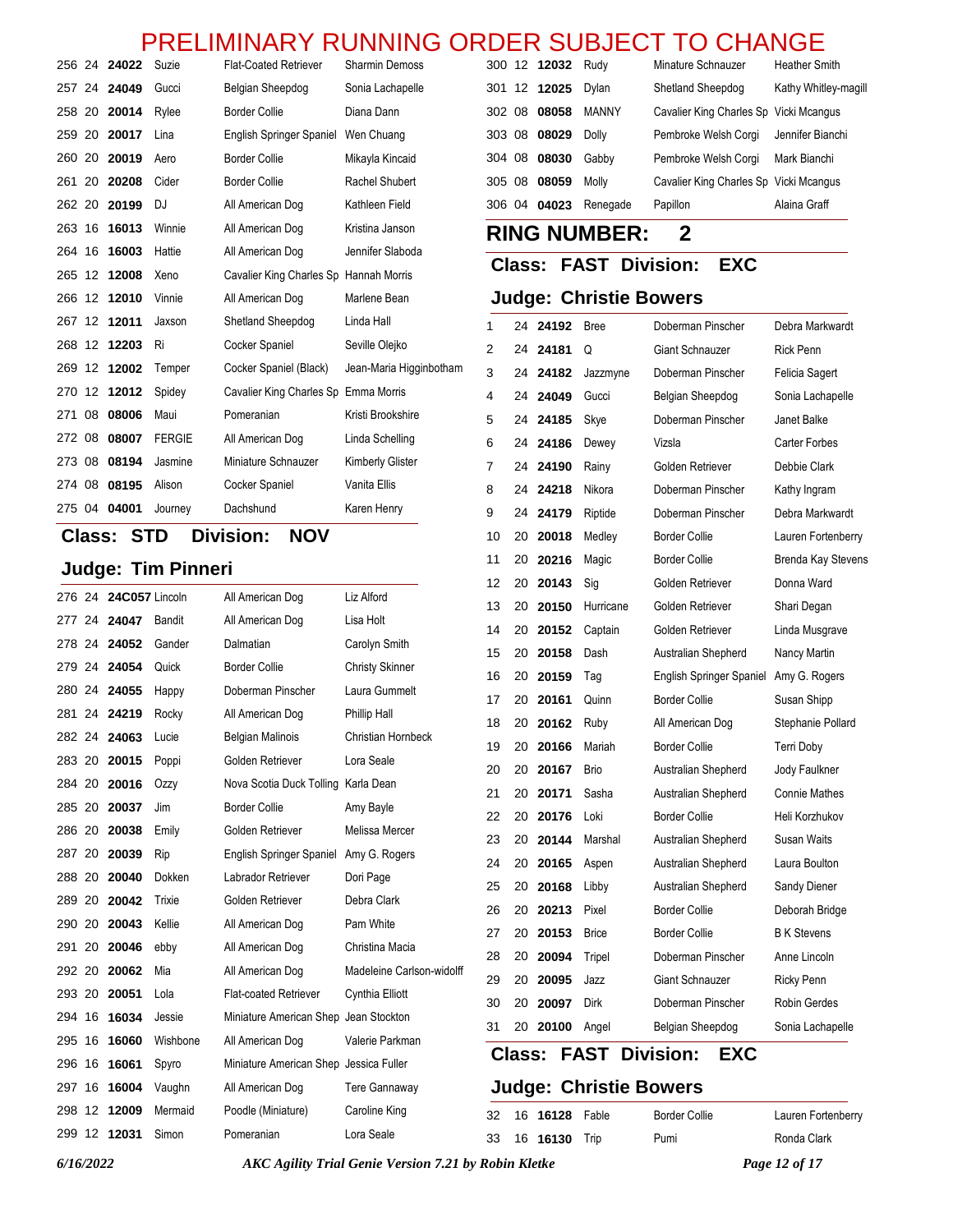#### 12 **12032** Rudy Minature Schnauzer Heather Smith PRELIMINARY RUNNING ORDER SUBJECT TO CHANGE

 12 **12025** Dylan Shetland Sheepdog Kathy Whitley-magill 08 **08058** MANNY Cavalier King Charles Sp Vicki Mcangus 08 **08029** Dolly Pembroke Welsh Corgi Jennifer Bianchi 08 **08030** Gabby Pembroke Welsh Corgi Mark Bianchi 08 **08059** Molly Cavalier King Charles Sp Vicki Mcangus 04 **04023** Renegade Papillon Alaina Graff

 24 **24192** Bree Doberman Pinscher Debra Markwardt 24 **24181** Q Giant Schnauzer Rick Penn 24 **24182** Jazzmyne Doberman Pinscher Felicia Sagert 24 **24049** Gucci Belgian Sheepdog Sonia Lachapelle 24 **24185** Skye Doberman Pinscher Janet Balke 24 **24186** Dewey Vizsla Carter Forbes 24 **24190** Rainy Golden Retriever Debbie Clark 8 24 **24218** Nikora Doberman Pinscher Kathy Ingram 24 **24179** Riptide Doberman Pinscher Debra Markwardt 20 **20018** Medley Border Collie Lauren Fortenberry

**RING NUMBER: 2**

**Judge: Christie Bowers**

**Class: FAST Division: EXC**

|        |    | 256 24 24022 | Suzie         | <b>Flat-Coated Retriever</b>           | <b>Sharmin Demoss</b>   |
|--------|----|--------------|---------------|----------------------------------------|-------------------------|
| 257 24 |    | 24049        | Gucci         | Belgian Sheepdog                       | Sonia Lachapelle        |
| 258 20 |    | 20014        | Rylee         | <b>Border Collie</b>                   | Diana Dann              |
| 259 20 |    | 20017        | Lina          | English Springer Spaniel               | Wen Chuang              |
| 260 20 |    | 20019        | Aero          | <b>Border Collie</b>                   | Mikayla Kincaid         |
| 261 20 |    | 20208        | Cider         | <b>Border Collie</b>                   | Rachel Shubert          |
| 262 20 |    | 20199        | DJ            | All American Dog                       | Kathleen Field          |
| 263 16 |    | 16013        | Winnie        | All American Dog                       | Kristina Janson         |
| 264    | 16 | 16003        | Hattie        | All American Dog                       | Jennifer Slaboda        |
| 265 12 |    | 12008        | Xeno          | Cavalier King Charles Sp Hannah Morris |                         |
| 266 12 |    | 12010        | Vinnie        | All American Dog                       | Marlene Bean            |
| 267    | 12 | 12011        | Jaxson        | Shetland Sheepdog                      | Linda Hall              |
| 268 12 |    | 12203        | Ri            | Cocker Spaniel                         | Seville Olejko          |
| 269    | 12 | 12002        | Temper        | Cocker Spaniel (Black)                 | Jean-Maria Higginbotham |
| 270    | 12 | 12012        | Spidey        | Cavalier King Charles Sp Emma Morris   |                         |
| 271    | 08 | 08006        | Maui          | Pomeranian                             | Kristi Brookshire       |
| 272 08 |    | 08007        | <b>FERGIE</b> | All American Dog                       | Linda Schelling         |
| 273 08 |    | 08194        | Jasmine       | Miniature Schnauzer                    | Kimberly Glister        |
| 274 08 |    | 08195        | Alison        | Cocker Spaniel                         | Vanita Ellis            |
| 275 04 |    | 04001        | Journey       | Dachshund                              | Karen Henry             |
| ЛI.    |    |              | rтn<br>n:     | .<br>**^**                             |                         |

#### **Class: STD Division: NOV**

|        |                       | <b>Judge: Tim Pinneri</b> |                                        |                           | 11 | 20            | 20216    | Magic                         | <b>Border Collie</b>            | <b>Brenda Kay Stevens</b> |
|--------|-----------------------|---------------------------|----------------------------------------|---------------------------|----|---------------|----------|-------------------------------|---------------------------------|---------------------------|
|        | 276 24 24C057 Lincoln |                           | All American Dog                       | Liz Alford                | 12 |               | 20 20143 | Sig                           | Golden Retriever                | Donna Ward                |
|        | 277 24 24047          | Bandit                    | All American Dog                       | Lisa Holt                 | 13 | 20            | 20150    | Hurricane                     | Golden Retriever                | Shari Degan               |
|        | 278 24 24052          | Gander                    | Dalmatian                              | Carolyn Smith             | 14 | 20            | 20152    | Captain                       | Golden Retriever                | Linda Musgrave            |
|        | 279 24 24054          | Quick                     | <b>Border Collie</b>                   | <b>Christy Skinner</b>    | 15 | 20            | 20158    | Dash                          | Australian Shepherd             | Nancy Martin              |
|        | 280 24 24055          |                           | Doberman Pinscher                      | Laura Gummelt             | 16 | 20            | 20159    | Tag                           | <b>English Springer Spaniel</b> | Amy G. Rogers             |
|        |                       | Happy                     |                                        |                           | 17 | 20            | 20161    | Quinn                         | <b>Border Collie</b>            | Susan Shipp               |
| 281 24 | 24219                 | Rocky                     | All American Dog                       | Phillip Hall              | 18 | 20            | 20162    | Ruby                          | All American Dog                | Stephanie Pollard         |
|        | 282 24 24063          | Lucie                     | <b>Belgian Malinois</b>                | Christian Hornbeck        | 19 | 20            | 20166    | Mariah                        | <b>Border Collie</b>            | Terri Doby                |
| 283 20 | 20015                 | Poppi                     | Golden Retriever                       | Lora Seale                | 20 | 20            | 20167    | <b>Brio</b>                   | Australian Shepherd             | Jody Faulkner             |
| 284 20 | 20016                 | Ozzy                      | Nova Scotia Duck Tolling               | Karla Dean                | 21 | 20            | 20171    | Sasha                         | Australian Shepherd             | <b>Connie Mathes</b>      |
| 285 20 | 20037                 | Jim                       | <b>Border Collie</b>                   | Amy Bayle                 | 22 | 20            | 20176    | Loki                          | <b>Border Collie</b>            | Heli Korzhukov            |
| 286 20 | 20038                 | Emily                     | Golden Retriever                       | Melissa Mercer            | 23 | 20            | 20144    | Marshal                       | Australian Shepherd             | Susan Waits               |
| 287 20 | 20039                 | Rip                       | <b>English Springer Spaniel</b>        | Amy G. Rogers             | 24 | 20            | 20165    | Aspen                         | Australian Shepherd             | Laura Boulton             |
| 288 20 | 20040                 | Dokken                    | Labrador Retriever                     | Dori Page                 | 25 | 20            | 20168    | Libby                         | Australian Shepherd             | Sandy Diener              |
| 289 20 | 20042                 | Trixie                    | Golden Retriever                       | Debra Clark               | 26 | 20            | 20213    | Pixel                         | <b>Border Collie</b>            | Deborah Bridge            |
| 290 20 | 20043                 | Kellie                    | All American Dog                       | Pam White                 | 27 | 20            | 20153    | <b>Brice</b>                  | <b>Border Collie</b>            | <b>B</b> K Stevens        |
|        | 291 20 20046          | ebby                      | All American Dog                       | Christina Macia           | 28 | 20            | 20094    | Tripel                        | Doberman Pinscher               | Anne Lincoln              |
|        | 292 20 20062          | Mia                       | All American Dog                       | Madeleine Carlson-widolff |    |               |          |                               |                                 |                           |
|        | 293 20 20051          | Lola                      | <b>Flat-coated Retriever</b>           | Cynthia Elliott           | 29 | 20            | 20095    | Jazz                          | Giant Schnauzer                 | <b>Ricky Penn</b>         |
|        | 294 16 16034          | Jessie                    | Miniature American Shep                | Jean Stockton             | 30 | 20            | 20097    | Dirk                          | Doberman Pinscher               | Robin Gerdes              |
|        | 295 16 16060          | Wishbone                  | All American Dog                       | Valerie Parkman           | 31 | 20            | 20100    | Angel                         | Belgian Sheepdog                | Sonia Lachapelle          |
| 296 16 | 16061                 | Spyro                     | Miniature American Shep Jessica Fuller |                           |    | <b>Class:</b> |          | <b>FAST</b>                   | <b>Division:</b><br><b>EXC</b>  |                           |
|        | 297 16 16004          | Vaughn                    | All American Dog                       | <b>Tere Gannaway</b>      |    |               |          | <b>Judge: Christie Bowers</b> |                                 |                           |
|        | 298 12 12009          | Mermaid                   | Poodle (Miniature)                     | Caroline King             | 32 | 16            | 16128    | Fable                         | <b>Border Collie</b>            | Lauren Fortenberry        |
|        | 299 12 12031          | Simon                     | Pomeranian                             | Lora Seale                | 33 |               | 16 16130 | Trip                          | Pumi                            | Ronda Clark               |

*6/16/2022 AKC Agility Trial Genie Version 7.21 by Robin Kletke Page 12 of 17*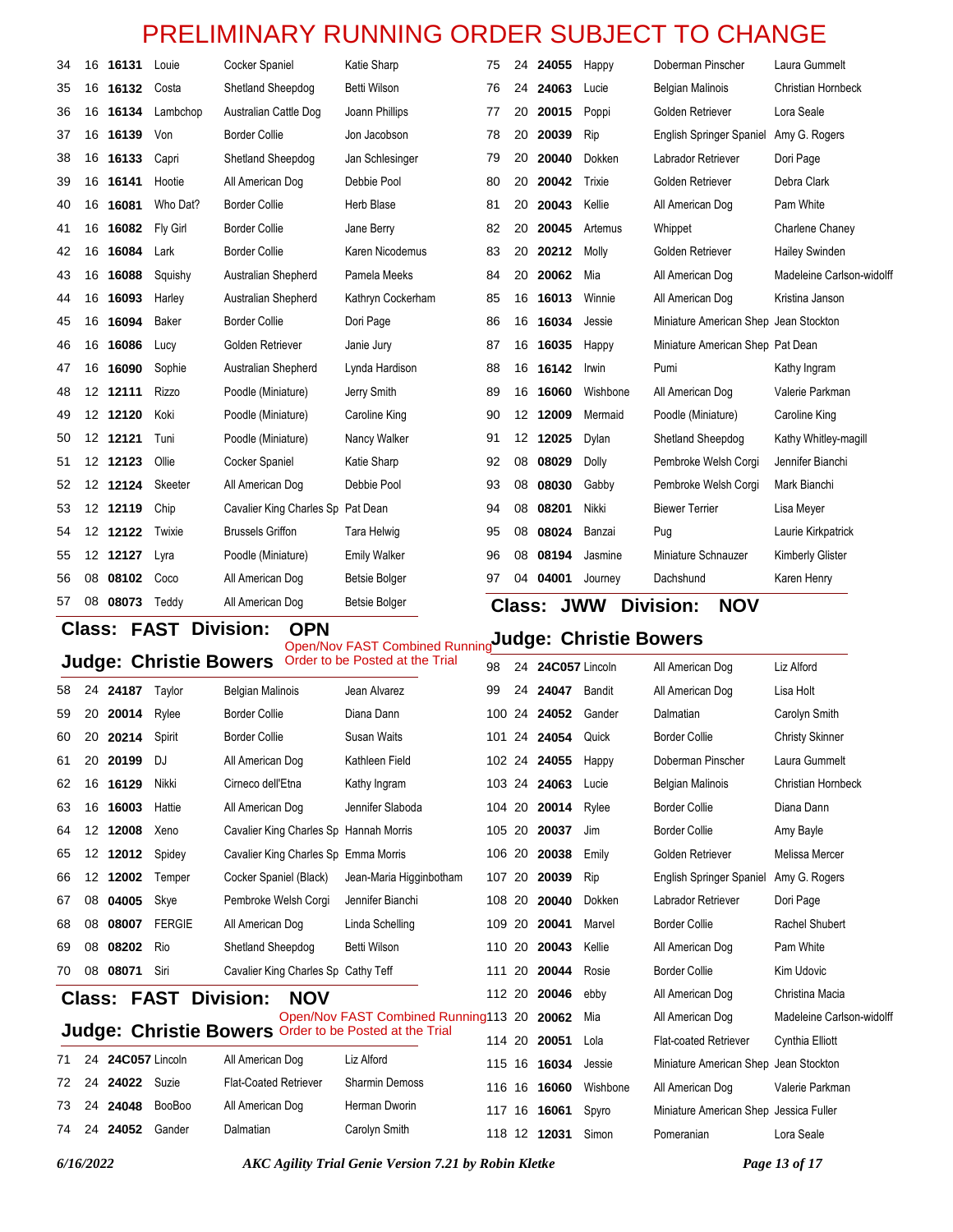|    | <b>FAST Division:</b><br><b>OPN</b><br><b>Class:</b><br>Judge: Christie Rowers |          |              |                                   |                      |    |                   |       |            |                                       |                           |
|----|--------------------------------------------------------------------------------|----------|--------------|-----------------------------------|----------------------|----|-------------------|-------|------------|---------------------------------------|---------------------------|
| 57 |                                                                                | 08 08073 | Teddy        | All American Dog                  | <b>Betsie Bolger</b> |    | <b>Class:</b>     |       | <b>JWW</b> | <b>Division:</b><br><b>NOV</b>        |                           |
| 56 | 08                                                                             | 08102    | Coco         | All American Dog                  | <b>Betsie Bolger</b> | 97 | 04                | 04001 | Journey    | Dachshund                             | Karen Henry               |
| 55 |                                                                                | 12 12127 | Lyra         | Poodle (Miniature)                | <b>Emily Walker</b>  | 96 | 08                | 08194 | Jasmine    | Miniature Schnauzer                   | Kimberly Glister          |
| 54 | 12 <sup>12</sup>                                                               | 12122    | Twixie       | <b>Brussels Griffon</b>           | Tara Helwig          | 95 | 08                | 08024 | Banzai     | Pug                                   | Laurie Kirkpatrick        |
| 53 |                                                                                | 12 12119 | Chip         | Cavalier King Charles Sp Pat Dean |                      | 94 | 08                | 08201 | Nikki      | <b>Biewer Terrier</b>                 | Lisa Meyer                |
| 52 |                                                                                | 12 12124 | Skeeter      | All American Dog                  | Debbie Pool          | 93 | 08                | 08030 | Gabby      | Pembroke Welsh Corgi                  | Mark Bianchi              |
| 51 |                                                                                | 12 12123 | Ollie        | Cocker Spaniel                    | Katie Sharp          | 92 | 08                | 08029 | Dolly      | Pembroke Welsh Corgi                  | Jennifer Bianchi          |
| 50 |                                                                                | 12 12121 | Tuni         | Poodle (Miniature)                | Nancy Walker         | 91 | $12 \overline{ }$ | 12025 | Dvlan      | Shetland Sheepdog                     | Kathy Whitley-magill      |
| 49 |                                                                                | 12 12120 | Koki         | Poodle (Miniature)                | Caroline King        | 90 | 12                | 12009 | Mermaid    | Poodle (Miniature)                    | Caroline King             |
| 48 |                                                                                | 12 12111 | <b>Rizzo</b> | Poodle (Miniature)                | Jerry Smith          | 89 | 16                | 16060 | Wishbone   | All American Dog                      | Valerie Parkman           |
| 47 | 16                                                                             | 16090    | Sophie       | Australian Shepherd               | Lynda Hardison       | 88 | 16                | 16142 | Irwin      | Pumi                                  | Kathy Ingram              |
| 46 | 16                                                                             | 16086    | Lucy         | Golden Retriever                  | Janie Jury           | 87 | 16                | 16035 | Happy      | Miniature American Shep Pat Dean      |                           |
| 45 | 16                                                                             | 16094    | Baker        | <b>Border Collie</b>              | Dori Page            | 86 | 16                | 16034 | Jessie     | Miniature American Shep Jean Stockton |                           |
| 44 | 16                                                                             | 16093    | Harley       | Australian Shepherd               | Kathryn Cockerham    | 85 | 16                | 16013 | Winnie     | All American Dog                      | Kristina Janson           |
| 43 | 16                                                                             | 16088    | Squishy      | Australian Shepherd               | Pamela Meeks         | 84 | 20                | 20062 | Mia        | All American Dog                      | Madeleine Carlson-widolff |
| 42 | 16                                                                             | 16084    | Lark         | <b>Border Collie</b>              | Karen Nicodemus      | 83 | 20                | 20212 | Molly      | Golden Retriever                      | <b>Hailey Swinden</b>     |
| 41 | 16                                                                             | 16082    | Fly Girl     | <b>Border Collie</b>              | Jane Berry           | 82 | 20                | 20045 | Artemus    | Whippet                               | Charlene Chaney           |
| 40 | 16                                                                             | 16081    | Who Dat?     | <b>Border Collie</b>              | <b>Herb Blase</b>    | 81 | 20                | 20043 | Kellie     | All American Dog                      | Pam White                 |
| 39 |                                                                                | 16 16141 | Hootie       | All American Dog                  | Debbie Pool          | 80 | 20                | 20042 | Trixie     | Golden Retriever                      | Debra Clark               |
| 38 | 16                                                                             | 16133    | Capri        | Shetland Sheepdog                 | Jan Schlesinger      | 79 | 20                | 20040 | Dokken     | Labrador Retriever                    | Dori Page                 |
| 37 |                                                                                | 16 16139 | Von          | <b>Border Collie</b>              | Jon Jacobson         | 78 | 20                | 20039 | Rip        | <b>English Springer Spaniel</b>       | Amy G. Rogers             |
| 36 | 16                                                                             | 16134    | Lambchop     | Australian Cattle Dog             | Joann Phillips       | 77 | 20                | 20015 | Poppi      | Golden Retriever                      | Lora Seale                |
| 35 |                                                                                | 16 16132 | Costa        | Shetland Sheepdog                 | <b>Betti Wilson</b>  | 76 | 24                | 24063 | Lucie      | <b>Belgian Malinois</b>               | Christian Hornbeck        |
| 34 | 16                                                                             | 16131    | Louie        | Cocker Spaniel                    | Katie Sharp          | 75 | 24                | 24055 | Happy      | Doberman Pinscher                     | Laura Gummelt             |

**OPIN**<br>Open/Nov FAST Combined Running**Judge: Christie Bowers** 

|    |                   |                   |                               |                                                        | Open/NOV FAST Combined Running<br>Order to be Posted at the Trial |        |    |                   |          |                                        |                           |
|----|-------------------|-------------------|-------------------------------|--------------------------------------------------------|-------------------------------------------------------------------|--------|----|-------------------|----------|----------------------------------------|---------------------------|
|    |                   |                   | <b>Judge: Christie Bowers</b> |                                                        |                                                                   | 98     |    | 24 24C057 Lincoln |          | All American Dog                       | Liz Alford                |
| 58 |                   | 24 24187          | Taylor                        | <b>Belgian Malinois</b>                                | Jean Alvarez                                                      | 99     | 24 | 24047             | Bandit   | All American Dog                       | Lisa Holt                 |
| 59 | 20                | 20014             | Rylee                         | <b>Border Collie</b>                                   | Diana Dann                                                        |        |    | 100 24 24052      | Gander   | Dalmatian                              | Carolyn Smith             |
| 60 | 20                | 20214             | Spirit                        | <b>Border Collie</b>                                   | <b>Susan Waits</b>                                                | 101    | 24 | 24054             | Quick    | <b>Border Collie</b>                   | <b>Christy Skinner</b>    |
| 61 | 20                | 20199             | DJ                            | All American Dog                                       | Kathleen Field                                                    |        |    | 102 24 24055      | Happy    | Doberman Pinscher                      | Laura Gummelt             |
| 62 | 16                | 16129             | Nikki                         | Cirneco dell'Etna                                      | Kathy Ingram                                                      |        |    | 103 24 24063      | Lucie    | <b>Belgian Malinois</b>                | <b>Christian Hornbeck</b> |
| 63 | 16                | 16003             | Hattie                        | All American Dog                                       | Jennifer Slaboda                                                  | 104 20 |    | 20014             | Rylee    | <b>Border Collie</b>                   | Diana Dann                |
| 64 | 12 <sup>2</sup>   | 12008             | Xeno                          | Cavalier King Charles Sp Hannah Morris                 |                                                                   |        |    | 105 20 20037      | Jim      | <b>Border Collie</b>                   | Amy Bayle                 |
| 65 | $12 \overline{ }$ | 12012             | Spidey                        | Cavalier King Charles Sp Emma Morris                   |                                                                   | 106 20 |    | 20038             | Emily    | Golden Retriever                       | Melissa Mercer            |
| 66 | 12                | 12002             | Temper                        | Cocker Spaniel (Black)                                 | Jean-Maria Higginbotham                                           | 107    | 20 | 20039             | Rip      | <b>English Springer Spaniel</b>        | Amy G. Rogers             |
| 67 | 08                | 04005             | Skye                          | Pembroke Welsh Corgi                                   | Jennifer Bianchi                                                  | 108 20 |    | 20040             | Dokken   | Labrador Retriever                     | Dori Page                 |
| 68 | 08                | 08007             | <b>FERGIE</b>                 | All American Dog                                       | Linda Schelling                                                   |        |    | 109 20 20041      | Marvel   | <b>Border Collie</b>                   | Rachel Shubert            |
| 69 | 08                | 08202             | Rio                           | Shetland Sheepdog                                      | <b>Betti Wilson</b>                                               | 110 20 |    | 20043             | Kellie   | All American Dog                       | Pam White                 |
| 70 | 08                | 08071             | Siri                          | Cavalier King Charles Sp Cathy Teff                    |                                                                   | 111    | 20 | 20044             | Rosie    | <b>Border Collie</b>                   | Kim Udovic                |
|    |                   | Class: FAST       |                               | Division:<br><b>NOV</b>                                |                                                                   | 112 20 |    | 20046             | ebby     | All American Dog                       | Christina Macia           |
|    |                   |                   |                               |                                                        | Open/Nov FAST Combined Running113 20                              |        |    | 20062             | Mia      | All American Dog                       | Madeleine Carlson-widolff |
|    |                   |                   |                               | Judge: Christie Bowers Order to be Posted at the Trial |                                                                   | 114 20 |    | 20051             | Lola     | <b>Flat-coated Retriever</b>           | <b>Cynthia Elliott</b>    |
| 71 |                   | 24 24C057 Lincoln |                               | All American Dog                                       | Liz Alford                                                        | 115    | 16 | 16034             | Jessie   | Miniature American Shep Jean Stockton  |                           |
| 72 | 24                | 24022             | Suzie                         | <b>Flat-Coated Retriever</b>                           | <b>Sharmin Demoss</b>                                             | 116 16 |    | 16060             | Wishbone | All American Dog                       | Valerie Parkman           |
| 73 |                   | 24 24048          | <b>BooBoo</b>                 | All American Dog                                       | Herman Dworin                                                     | 117    | 16 | 16061             | Spyro    | Miniature American Shep Jessica Fuller |                           |
| 74 | 24                | 24052             | Gander                        | Dalmatian                                              | Carolyn Smith                                                     |        |    | 118 12 12031      | Simon    | Pomeranian                             | Lora Seale                |
|    |                   |                   |                               |                                                        |                                                                   |        |    |                   |          |                                        |                           |

*6/16/2022 AKC Agility Trial Genie Version 7.21 by Robin Kletke Page 13 of 17*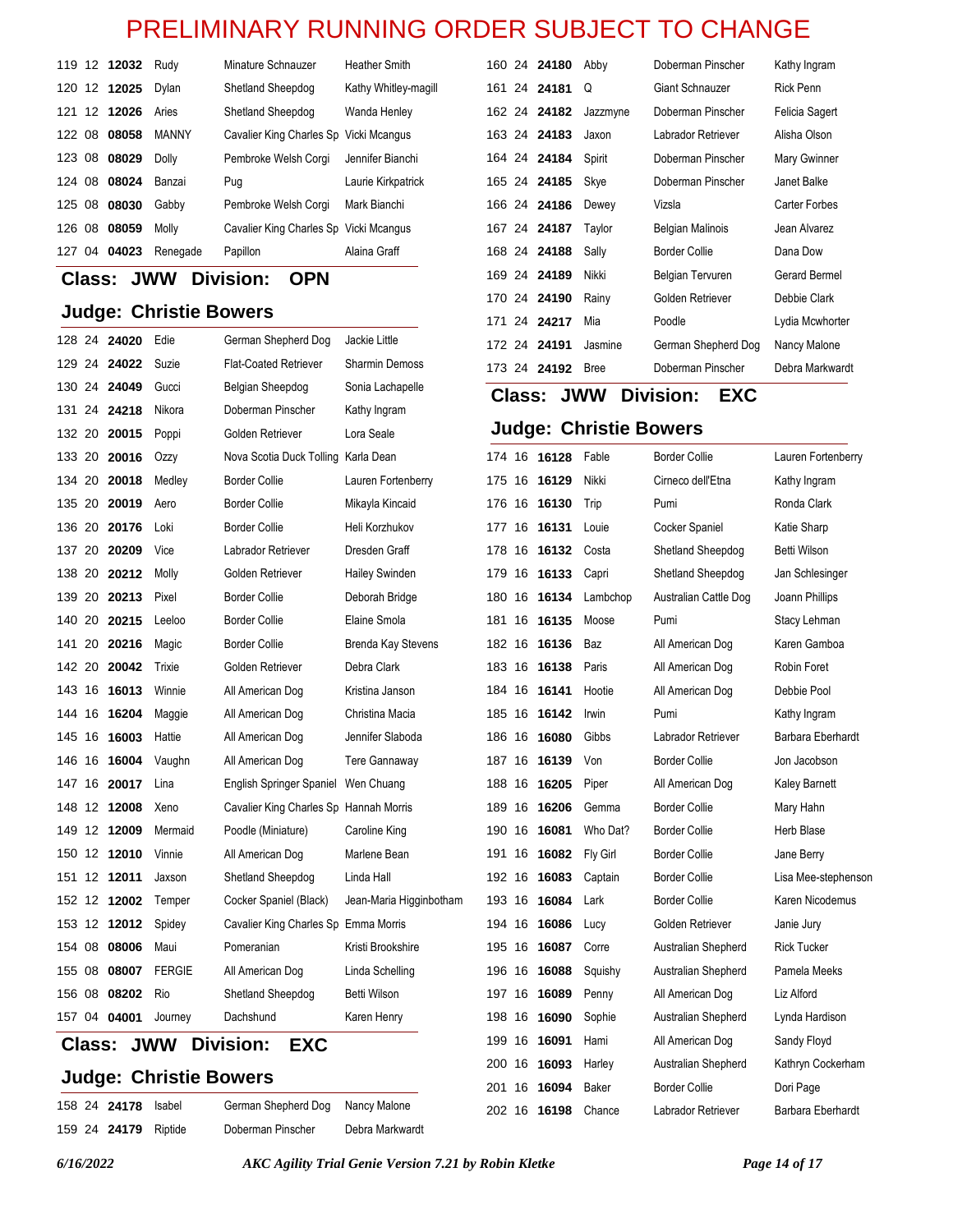|  | 119 12 12032 | Rudy         | Minature Schnauzer                     | <b>Heather Smith</b> |
|--|--------------|--------------|----------------------------------------|----------------------|
|  | 120 12 12025 | Dvlan        | Shetland Sheepdog                      | Kathy Whitley-magill |
|  | 121 12 12026 | Aries        | Shetland Sheepdog                      | Wanda Henley         |
|  | 122 08 08058 | <b>MANNY</b> | Cavalier King Charles Sp Vicki Mcangus |                      |
|  | 123 08 08029 | <b>Dolly</b> | Pembroke Welsh Corgi                   | Jennifer Bianchi     |
|  | 124 08 08024 | Banzai       | Pug                                    | Laurie Kirkpatrick   |
|  | 125 08 08030 | Gabby        | Pembroke Welsh Corgi                   | Mark Bianchi         |
|  | 126 08 08059 | Molly        | Cavalier King Charles Sp Vicki Mcangus |                      |
|  | 127 04 04023 | Renegade     | Papillon                               | Alaina Graff         |

**Class: JWW Division: OPN**

### **Judge: Christie Bowers**

|        |               | 128 24 24020 | Edie                          | German Shepherd Dog                    | Jackie Little             | 17 |
|--------|---------------|--------------|-------------------------------|----------------------------------------|---------------------------|----|
|        |               | 129 24 24022 | Suzie                         | <b>Flat-Coated Retriever</b>           | <b>Sharmin Demoss</b>     | 17 |
|        |               | 130 24 24049 | Gucci                         | Belgian Sheepdog                       | Sonia Lachapelle          | C  |
|        |               | 131 24 24218 | Nikora                        | Doberman Pinscher                      | Kathy Ingram              |    |
|        |               | 132 20 20015 | Poppi                         | Golden Retriever                       | Lora Seale                | J  |
| 133 20 |               | 20016        | Ozzy                          | Nova Scotia Duck Tolling Karla Dean    |                           | 17 |
| 134 20 |               | 20018        | Medley                        | <b>Border Collie</b>                   | Lauren Fortenberry        | 17 |
| 135 20 |               | 20019        | Aero                          | <b>Border Collie</b>                   | Mikayla Kincaid           | 17 |
|        |               | 136 20 20176 | Loki                          | <b>Border Collie</b>                   | Heli Korzhukov            | 17 |
| 137 20 |               | 20209        | Vice                          | Labrador Retriever                     | Dresden Graff             | 17 |
|        |               | 138 20 20212 | Molly                         | Golden Retriever                       | Hailey Swinden            | 17 |
|        |               | 139 20 20213 | Pixel                         | <b>Border Collie</b>                   | Deborah Bridge            | 18 |
|        |               | 140 20 20215 | Leeloo                        | <b>Border Collie</b>                   | Elaine Smola              | 18 |
| 141 20 |               | 20216        | Magic                         | <b>Border Collie</b>                   | <b>Brenda Kay Stevens</b> | 18 |
|        |               | 142 20 20042 | Trixie                        | Golden Retriever                       | Debra Clark               | 18 |
| 143 16 |               | 16013        | Winnie                        | All American Dog                       | Kristina Janson           | 18 |
| 144 16 |               | 16204        | Maggie                        | All American Dog                       | Christina Macia           | 18 |
| 145 16 |               | 16003        | Hattie                        | All American Dog                       | Jennifer Slaboda          | 18 |
| 146 16 |               | 16004        | Vaughn                        | All American Dog                       | <b>Tere Gannaway</b>      | 18 |
| 147 16 |               | 20017        | Lina                          | English Springer Spaniel Wen Chuang    |                           | 18 |
| 148 12 |               | 12008        | Xeno                          | Cavalier King Charles Sp Hannah Morris |                           | 18 |
| 149 12 |               | 12009        | Mermaid                       | Poodle (Miniature)                     | Caroline King             | 19 |
| 150 12 |               | 12010        | Vinnie                        | All American Dog                       | Marlene Bean              | 19 |
| 151 12 |               | 12011        | Jaxson                        | Shetland Sheepdog                      | Linda Hall                | 19 |
| 152 12 |               | 12002        | Temper                        | Cocker Spaniel (Black)                 | Jean-Maria Higginbotham   | 19 |
| 153 12 |               | 12012        | Spidey                        | Cavalier King Charles Sp Emma Morris   |                           | 19 |
| 154 08 |               | 08006        | Maui                          | Pomeranian                             | Kristi Brookshire         | 19 |
| 155 08 |               | 08007        | <b>FERGIE</b>                 | All American Dog                       | Linda Schelling           | 19 |
| 156 08 |               | 08202        | Rio                           | Shetland Sheepdog                      | Betti Wilson              | 19 |
|        |               | 157 04 04001 | Journey                       | Dachshund                              | Karen Henry               | 19 |
|        | <b>Class:</b> |              | <b>JWW</b>                    | Division:<br><b>EXC</b>                |                           | 19 |
|        |               |              |                               |                                        |                           | 20 |
|        |               |              | <b>Judge: Christie Bowers</b> |                                        |                           | 20 |
|        |               | 158 24 24178 | Isabel                        | German Shepherd Dog                    | Nancy Malone              | ንስ |

24 **24179** Riptide Doberman Pinscher Debra Markwardt

| 160 24 24180 | Abby        | Doberman Pinscher   | Kathy Ingram     |
|--------------|-------------|---------------------|------------------|
| 161 24 24181 | Q           | Giant Schnauzer     | <b>Rick Penn</b> |
| 162 24 24182 | Jazzmyne    | Doberman Pinscher   | Felicia Sagert   |
| 163 24 24183 | Jaxon       | Labrador Retriever  | Alisha Olson     |
| 164 24 24184 | Spirit      | Doberman Pinscher   | Mary Gwinner     |
| 165 24 24185 | Skye        | Doberman Pinscher   | Janet Balke      |
| 166 24 24186 | Dewey       | Vizsla              | Carter Forbes    |
| 167 24 24187 | Taylor      | Belgian Malinois    | Jean Alvarez     |
| 168 24 24188 | Sally       | Border Collie       | Dana Dow         |
| 169 24 24189 | Nikki       | Belgian Tervuren    | Gerard Bermel    |
| 170 24 24190 | Rainy       | Golden Retriever    | Debbie Clark     |
| 171 24 24217 | Mia         | Poodle              | Lydia Mcwhorter  |
| 172 24 24191 | Jasmine     | German Shepherd Dog | Nancy Malone     |
| 173 24 24192 | <b>Bree</b> | Doberman Pinscher   | Debra Markwardt  |

# **Class: JWW Division: EXC**

#### **Judge: Christie Bowers**

| 174 16 |    | 16128 | Fable    | <b>Border Collie</b>  | Lauren Fortenberry   |
|--------|----|-------|----------|-----------------------|----------------------|
| 175    | 16 | 16129 | Nikki    | Cirneco dell'Etna     | Kathy Ingram         |
| 176    | 16 | 16130 | Trip     | Pumi                  | Ronda Clark          |
| 177    | 16 | 16131 | Louie    | Cocker Spaniel        | Katie Sharp          |
| 178    | 16 | 16132 | Costa    | Shetland Sheepdog     | Betti Wilson         |
| 179    | 16 | 16133 | Capri    | Shetland Sheepdog     | Jan Schlesinger      |
| 180    | 16 | 16134 | Lambchop | Australian Cattle Dog | Joann Phillips       |
| 181    | 16 | 16135 | Moose    | Pumi                  | Stacy Lehman         |
| 182    | 16 | 16136 | Baz      | All American Dog      | Karen Gamboa         |
| 183 16 |    | 16138 | Paris    | All American Dog      | Robin Foret          |
| 184    | 16 | 16141 | Hootie   | All American Dog      | Debbie Pool          |
| 185    | 16 | 16142 | Irwin    | Pumi                  | Kathy Ingram         |
| 186    | 16 | 16080 | Gibbs    | Labrador Retriever    | Barbara Eberhardt    |
| 187    | 16 | 16139 | Von      | <b>Border Collie</b>  | Jon Jacobson         |
| 188    | 16 | 16205 | Piper    | All American Dog      | <b>Kaley Barnett</b> |
| 189 16 |    | 16206 | Gemma    | <b>Border Collie</b>  | Mary Hahn            |
| 190    | 16 | 16081 | Who Dat? | <b>Border Collie</b>  | Herb Blase           |
| 191    | 16 | 16082 | Fly Girl | <b>Border Collie</b>  | Jane Berry           |
| 192    | 16 | 16083 | Captain  | <b>Border Collie</b>  | Lisa Mee-stephenson  |
| 193    | 16 | 16084 | Lark     | <b>Border Collie</b>  | Karen Nicodemus      |
| 194    | 16 | 16086 | Lucy     | Golden Retriever      | Janie Jury           |
| 195    | 16 | 16087 | Corre    | Australian Shepherd   | <b>Rick Tucker</b>   |
| 196    | 16 | 16088 | Squishy  | Australian Shepherd   | Pamela Meeks         |
| 197    | 16 | 16089 | Penny    | All American Dog      | Liz Alford           |
| 198    | 16 | 16090 | Sophie   | Australian Shepherd   | Lynda Hardison       |
| 199    | 16 | 16091 | Hami     | All American Dog      | Sandy Floyd          |
| 200    | 16 | 16093 | Harley   | Australian Shepherd   | Kathryn Cockerham    |
| 201    | 16 | 16094 | Baker    | <b>Border Collie</b>  | Dori Page            |
| 202    | 16 | 16198 | Chance   | Labrador Retriever    | Barbara Eberhardt    |
|        |    |       |          |                       |                      |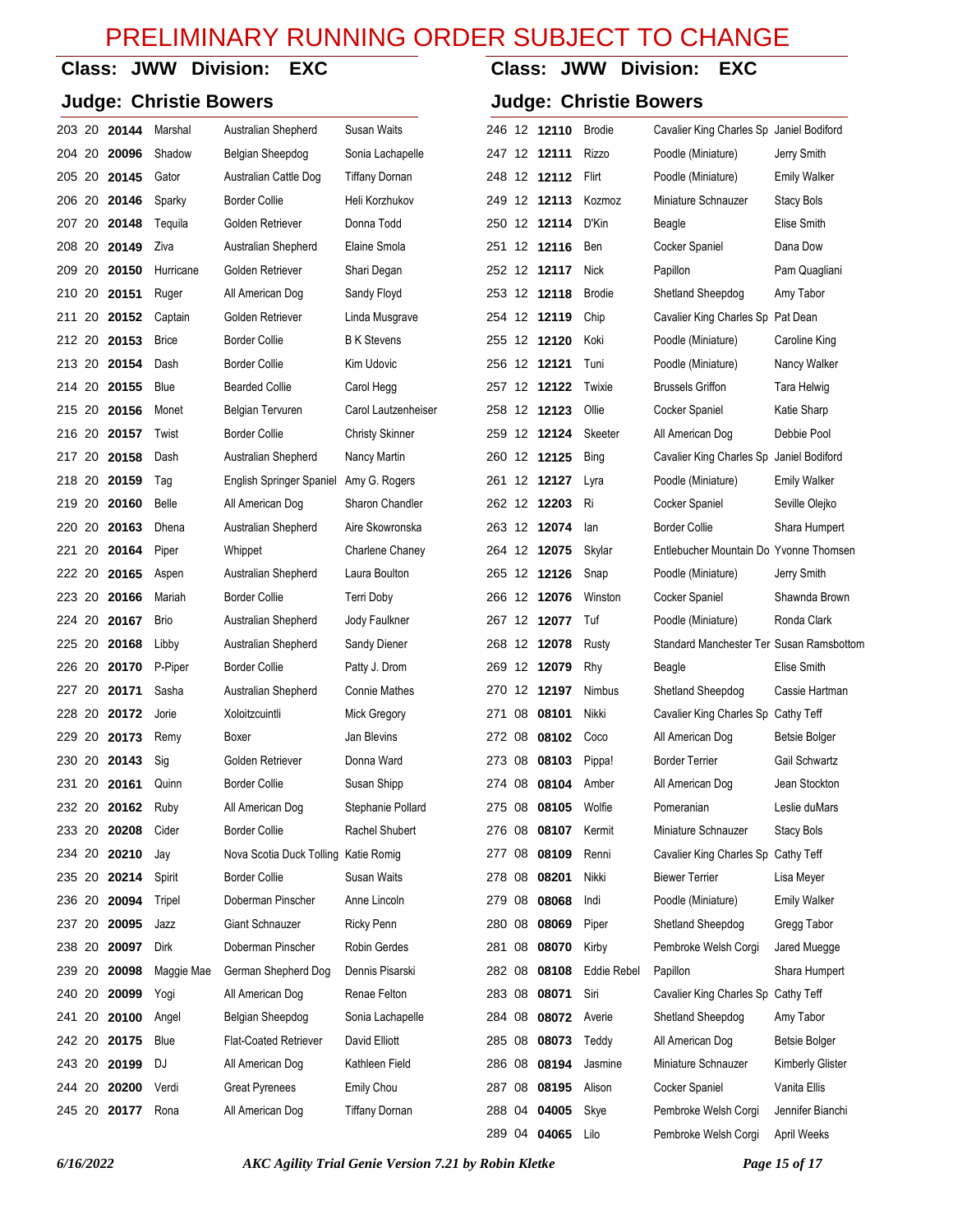**Class: JWW Division: EXC**

### **Class: JWW Division: EXC**

| <b>Judge: Christie Bowers</b> |       |              |                              |                        |        | <b>Judge: Christie Bowers</b> |              |               |                                          |                     |  |
|-------------------------------|-------|--------------|------------------------------|------------------------|--------|-------------------------------|--------------|---------------|------------------------------------------|---------------------|--|
| 203 20 20144                  |       | Marshal      | Australian Shepherd          | Susan Waits            |        |                               | 246 12 12110 | Brodie        | Cavalier King Charles Sp Janiel Bodiford |                     |  |
| 204 20 <b>20096</b>           |       | Shadow       | Belgian Sheepdog             | Sonia Lachapelle       |        |                               | 247 12 12111 | <b>Rizzo</b>  | Poodle (Miniature)                       | Jerry Smith         |  |
| 205 20 <b>20145</b>           |       | Gator        | Australian Cattle Dog        | <b>Tiffany Dornan</b>  |        |                               | 248 12 12112 | Flirt         | Poodle (Miniature)                       | <b>Emily Walker</b> |  |
| 206 20 <b>20146</b>           |       | Sparky       | <b>Border Collie</b>         | Heli Korzhukov         |        |                               | 249 12 12113 | Kozmoz        | Miniature Schnauzer                      | Stacy Bols          |  |
| 207 20 <b>20148</b>           |       | Tequila      | Golden Retriever             | Donna Todd             |        |                               | 250 12 12114 | D'Kin         | Beagle                                   | <b>Elise Smith</b>  |  |
| 208 20 <b>20149</b>           |       | Ziva         | Australian Shepherd          | Elaine Smola           |        |                               | 251 12 12116 | Ben           | Cocker Spaniel                           | Dana Dow            |  |
| 209 20 20150                  |       | Hurricane    | Golden Retriever             | Shari Degan            |        |                               | 252 12 12117 | Nick          | Papillon                                 | Pam Quagliani       |  |
| 210 20                        | 20151 | Ruger        | All American Dog             | Sandy Floyd            |        |                               | 253 12 12118 | <b>Brodie</b> | Shetland Sheepdog                        | Amy Tabor           |  |
|                               |       | Captain      | Golden Retriever             | Linda Musgrave         |        |                               | 254 12 12119 | Chip          | Cavalier King Charles Sp Pat Dean        |                     |  |
| 212 20                        | 20153 | <b>Brice</b> | <b>Border Collie</b>         | <b>B</b> K Stevens     |        |                               | 255 12 12120 | Koki          | Poodle (Miniature)                       | Caroline King       |  |
| 213 20 20154                  |       | Dash         | <b>Border Collie</b>         | Kim Udovic             |        |                               | 256 12 12121 | Tuni          | Poodle (Miniature)                       | Nancy Walker        |  |
| 214 20                        | 20155 | Blue         | <b>Bearded Collie</b>        | Carol Hegg             |        |                               | 257 12 12122 | Twixie        | <b>Brussels Griffon</b>                  | Tara Helwig         |  |
|                               |       | Monet        | Belgian Tervuren             | Carol Lautzenheiser    |        |                               | 258 12 12123 | Ollie         | Cocker Spaniel                           | Katie Sharp         |  |
| 216 20                        | 20157 | Twist        | <b>Border Collie</b>         | <b>Christy Skinner</b> |        |                               | 259 12 12124 | Skeeter       | All American Dog                         | Debbie Pool         |  |
| 217 20 20158                  |       | Dash         | Australian Shepherd          | Nancy Martin           |        |                               | 260 12 12125 | <b>Bing</b>   | Cavalier King Charles Sp                 | Janiel Bodiford     |  |
| 218 20                        | 20159 | Tag          | English Springer Spaniel     | Amy G. Rogers          |        |                               | 261 12 12127 | Lyra          | Poodle (Miniature)                       | <b>Emily Walker</b> |  |
| 219 20 20160                  |       | <b>Belle</b> | All American Dog             | Sharon Chandler        |        |                               | 262 12 12203 | Ri            | Cocker Spaniel                           | Seville Olejko      |  |
| 220 20                        | 20163 | Dhena        | Australian Shepherd          | Aire Skowronska        |        |                               | 263 12 12074 | lan           | <b>Border Collie</b>                     | Shara Humpert       |  |
| 221 20 20164                  |       | Piper        | Whippet                      | Charlene Chaney        |        |                               | 264 12 12075 | Skylar        | Entlebucher Mountain Do Yvonne Thomsen   |                     |  |
| 222 20                        | 20165 | Aspen        | Australian Shepherd          | Laura Boulton          |        |                               | 265 12 12126 | Snap          | Poodle (Miniature)                       | Jerry Smith         |  |
| 223 20 <b>20166</b>           |       | Mariah       | <b>Border Collie</b>         | <b>Terri Doby</b>      |        |                               | 266 12 12076 | Winston       | Cocker Spaniel                           | Shawnda Brown       |  |
| 224 20                        | 20167 | <b>Brio</b>  | Australian Shepherd          | Jody Faulkner          |        |                               | 267 12 12077 | Tuf           | Poodle (Miniature)                       | Ronda Clark         |  |
| 225 20 <b>20168</b>           |       | Libby        | Australian Shepherd          | Sandy Diener           |        |                               | 268 12 12078 | Rusty         | Standard Manchester Ter Susan Ramsbottom |                     |  |
| 226 20 <b>20170</b>           |       | P-Piper      | <b>Border Collie</b>         | Patty J. Drom          |        |                               | 269 12 12079 | Rhy           | Beagle                                   | <b>Elise Smith</b>  |  |
|                               |       | Sasha        | Australian Shepherd          | <b>Connie Mathes</b>   |        |                               | 270 12 12197 | Nimbus        | Shetland Sheepdog                        | Cassie Hartman      |  |
| 228 20 20172                  |       | Jorie        | Xoloitzcuintli               | Mick Gregory           | 271    | 08                            | 08101        | Nikki         | Cavalier King Charles Sp Cathy Teff      |                     |  |
| 229 20 20173                  |       | Remy         | Boxer                        | Jan Blevins            |        |                               | 272 08 08102 | Coco          | All American Dog                         | Betsie Bolger       |  |
| 230 20 20143                  |       | Sig          | Golden Retriever             | Donna Ward             | 273    | 08                            | 08103        | Pippa!        | <b>Border Terrier</b>                    | Gail Schwartz       |  |
|                               |       | Quinn        | <b>Border Collie</b>         | Susan Shipp            |        |                               | 274 08 08104 | Amber         | All American Dog                         | Jean Stockton       |  |
|                               |       | Ruby         | All American Dog             | Stephanie Pollard      | 275 08 |                               | 08105        | Wolfie        | Pomeranian                               | Leslie duMars       |  |
| 233 20 <b>20208</b>           |       | Cider        | <b>Border Collie</b>         | Rachel Shubert         | 276 08 |                               | 08107        | Kermit        | Miniature Schnauzer                      | <b>Stacy Bols</b>   |  |
| 234 20                        | 20210 | Jay          | Nova Scotia Duck Tolling     | Katie Romig            | 277 08 |                               | 08109        | Renni         | Cavalier King Charles Sp Cathy Teff      |                     |  |
| 235 20 20214                  |       | Spirit       | <b>Border Collie</b>         | Susan Waits            |        |                               | 278 08 08201 | Nikki         | <b>Biewer Terrier</b>                    | Lisa Meyer          |  |
| 236 20                        | 20094 | Tripel       | Doberman Pinscher            | Anne Lincoln           | 279 08 |                               | 08068        | Indi          | Poodle (Miniature)                       | <b>Emily Walker</b> |  |
| 237 20 20095                  |       | Jazz         | Giant Schnauzer              | <b>Ricky Penn</b>      | 280 08 |                               | 08069        | Piper         | Shetland Sheepdog                        | Gregg Tabor         |  |
| 238 20                        | 20097 | Dirk         | Doberman Pinscher            | <b>Robin Gerdes</b>    | 281 08 |                               | 08070        | Kirby         | Pembroke Welsh Corgi                     | Jared Muegge        |  |
| 239 20 20098                  |       | Maggie Mae   | German Shepherd Dog          | Dennis Pisarski        | 282 08 |                               | 08108        | Eddie Rebel   | Papillon                                 | Shara Humpert       |  |
| 240 20                        | 20099 | Yogi         | All American Dog             | Renae Felton           | 283 08 |                               | 08071        | Siri          | Cavalier King Charles Sp Cathy Teff      |                     |  |
| 241 20 20100                  |       | Angel        | Belgian Sheepdog             | Sonia Lachapelle       | 284 08 |                               | 08072        | Averie        | Shetland Sheepdog                        | Amy Tabor           |  |
| 242 20 20175                  |       | Blue         | <b>Flat-Coated Retriever</b> | David Elliott          | 285 08 |                               | 08073        | Teddy         | All American Dog                         | Betsie Bolger       |  |
| 243 20 <b>20199</b>           |       | DJ           | All American Dog             | Kathleen Field         | 286 08 |                               | 08194        | Jasmine       | Miniature Schnauzer                      | Kimberly Glister    |  |
| 244 20 <b>20200</b>           |       | Verdi        | <b>Great Pyrenees</b>        | Emily Chou             | 287 08 |                               | 08195        | Alison        | Cocker Spaniel                           | Vanita Ellis        |  |
| 245 20 20177                  |       | Rona         | All American Dog             | <b>Tiffany Dornan</b>  |        |                               | 288 04 04005 | Skye          | Pembroke Welsh Corgi                     | Jennifer Bianchi    |  |
|                               |       |              |                              |                        |        |                               | 289 04 04065 | Lilo          | Pembroke Welsh Corgi                     | April Weeks         |  |